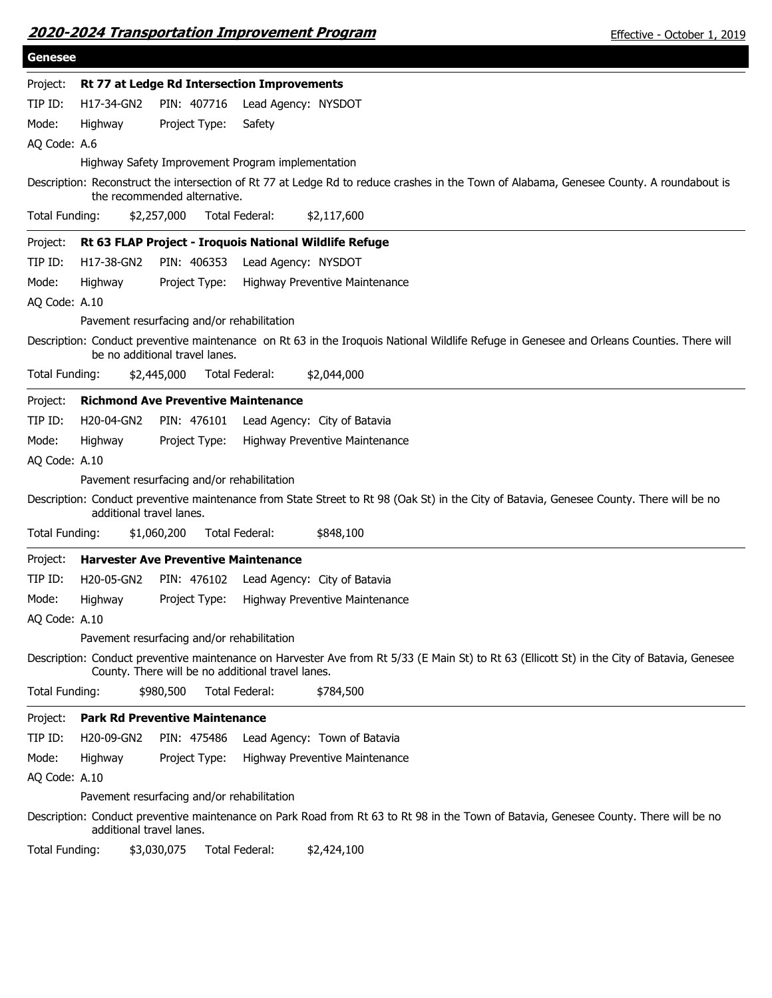|  | 2020-2024 Transportation Improvement Program |
|--|----------------------------------------------|
|  |                                              |

| <b>Genesee</b> |                                                                                                                                                                                                   |
|----------------|---------------------------------------------------------------------------------------------------------------------------------------------------------------------------------------------------|
| Project:       | Rt 77 at Ledge Rd Intersection Improvements                                                                                                                                                       |
| TIP ID:        | H17-34-GN2<br>PIN: 407716<br>Lead Agency: NYSDOT                                                                                                                                                  |
| Mode:          | Highway<br>Project Type:<br>Safety                                                                                                                                                                |
| AQ Code: A.6   |                                                                                                                                                                                                   |
|                | Highway Safety Improvement Program implementation                                                                                                                                                 |
|                | Description: Reconstruct the intersection of Rt 77 at Ledge Rd to reduce crashes in the Town of Alabama, Genesee County. A roundabout is<br>the recommended alternative.                          |
| Total Funding: | Total Federal:<br>\$2,257,000<br>\$2,117,600                                                                                                                                                      |
| Project:       | Rt 63 FLAP Project - Iroquois National Wildlife Refuge                                                                                                                                            |
| TIP ID:        | H17-38-GN2<br>PIN: 406353<br>Lead Agency: NYSDOT                                                                                                                                                  |
| Mode:          | Highway<br>Project Type:<br>Highway Preventive Maintenance                                                                                                                                        |
| AQ Code: A.10  |                                                                                                                                                                                                   |
|                | Pavement resurfacing and/or rehabilitation                                                                                                                                                        |
|                | Description: Conduct preventive maintenance on Rt 63 in the Iroquois National Wildlife Refuge in Genesee and Orleans Counties. There will<br>be no additional travel lanes.                       |
| Total Funding: | \$2,445,000<br>Total Federal:<br>\$2,044,000                                                                                                                                                      |
| Project:       | <b>Richmond Ave Preventive Maintenance</b>                                                                                                                                                        |
| TIP ID:        | H20-04-GN2<br>PIN: 476101<br>Lead Agency: City of Batavia                                                                                                                                         |
| Mode:          | Highway<br>Project Type:<br>Highway Preventive Maintenance                                                                                                                                        |
| AQ Code: A.10  |                                                                                                                                                                                                   |
|                | Pavement resurfacing and/or rehabilitation                                                                                                                                                        |
|                | Description: Conduct preventive maintenance from State Street to Rt 98 (Oak St) in the City of Batavia, Genesee County. There will be no<br>additional travel lanes.                              |
| Total Funding: | \$1,060,200<br>Total Federal:<br>\$848,100                                                                                                                                                        |
| Project:       | <b>Harvester Ave Preventive Maintenance</b>                                                                                                                                                       |
| TIP ID:        | H20-05-GN2<br>PIN: 476102<br>Lead Agency: City of Batavia                                                                                                                                         |
| Mode:          | Highway<br>Project Type:<br>Highway Preventive Maintenance                                                                                                                                        |
| AQ Code: A.10  |                                                                                                                                                                                                   |
|                | Pavement resurfacing and/or rehabilitation                                                                                                                                                        |
|                | Description: Conduct preventive maintenance on Harvester Ave from Rt 5/33 (E Main St) to Rt 63 (Ellicott St) in the City of Batavia, Genesee<br>County. There will be no additional travel lanes. |
| Total Funding: | \$980,500<br>Total Federal:<br>\$784,500                                                                                                                                                          |
| Project:       | <b>Park Rd Preventive Maintenance</b>                                                                                                                                                             |
| TIP ID:        | H20-09-GN2<br>PIN: 475486<br>Lead Agency: Town of Batavia                                                                                                                                         |
| Mode:          | Highway<br>Project Type:<br>Highway Preventive Maintenance                                                                                                                                        |
| AQ Code: A.10  |                                                                                                                                                                                                   |
|                | Pavement resurfacing and/or rehabilitation                                                                                                                                                        |
|                | Description: Conduct preventive maintenance on Park Road from Rt 63 to Rt 98 in the Town of Batavia, Genesee County. There will be no<br>additional travel lanes.                                 |
| Total Funding: | \$3,030,075<br>Total Federal:<br>\$2,424,100                                                                                                                                                      |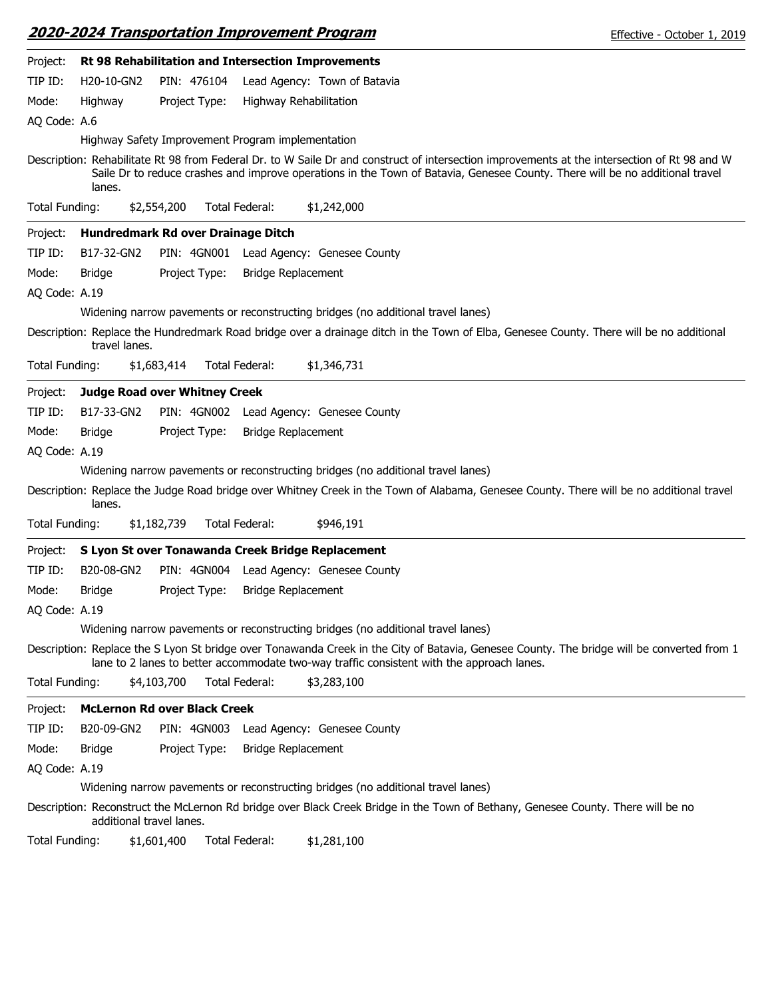|                |                          | 2020-2024 Transportation Improvement Program       |                           |                                                                                                                                                                                                                                                                              | Effective - October 1, 2019                                                                                                                |
|----------------|--------------------------|----------------------------------------------------|---------------------------|------------------------------------------------------------------------------------------------------------------------------------------------------------------------------------------------------------------------------------------------------------------------------|--------------------------------------------------------------------------------------------------------------------------------------------|
| Project:       |                          | Rt 98 Rehabilitation and Intersection Improvements |                           |                                                                                                                                                                                                                                                                              |                                                                                                                                            |
| TIP ID:        | H20-10-GN2               | PIN: 476104                                        |                           | Lead Agency: Town of Batavia                                                                                                                                                                                                                                                 |                                                                                                                                            |
| Mode:          | Highway                  | Project Type:                                      | Highway Rehabilitation    |                                                                                                                                                                                                                                                                              |                                                                                                                                            |
| AQ Code: A.6   |                          |                                                    |                           |                                                                                                                                                                                                                                                                              |                                                                                                                                            |
|                |                          | Highway Safety Improvement Program implementation  |                           |                                                                                                                                                                                                                                                                              |                                                                                                                                            |
|                | lanes.                   |                                                    |                           | Description: Rehabilitate Rt 98 from Federal Dr. to W Saile Dr and construct of intersection improvements at the intersection of Rt 98 and W<br>Saile Dr to reduce crashes and improve operations in the Town of Batavia, Genesee County. There will be no additional travel |                                                                                                                                            |
| Total Funding: |                          | \$2,554,200                                        | Total Federal:            | \$1,242,000                                                                                                                                                                                                                                                                  |                                                                                                                                            |
| Project:       |                          | Hundredmark Rd over Drainage Ditch                 |                           |                                                                                                                                                                                                                                                                              |                                                                                                                                            |
| TIP ID:        | B17-32-GN2               | PIN: 4GN001                                        |                           | Lead Agency: Genesee County                                                                                                                                                                                                                                                  |                                                                                                                                            |
| Mode:          | <b>Bridge</b>            | Project Type:                                      | <b>Bridge Replacement</b> |                                                                                                                                                                                                                                                                              |                                                                                                                                            |
| AQ Code: A.19  |                          |                                                    |                           |                                                                                                                                                                                                                                                                              |                                                                                                                                            |
|                |                          |                                                    |                           | Widening narrow pavements or reconstructing bridges (no additional travel lanes)                                                                                                                                                                                             |                                                                                                                                            |
|                | travel lanes.            |                                                    |                           | Description: Replace the Hundredmark Road bridge over a drainage ditch in the Town of Elba, Genesee County. There will be no additional                                                                                                                                      |                                                                                                                                            |
| Total Funding: |                          | \$1,683,414                                        | Total Federal:            | \$1,346,731                                                                                                                                                                                                                                                                  |                                                                                                                                            |
| Project:       |                          | <b>Judge Road over Whitney Creek</b>               |                           |                                                                                                                                                                                                                                                                              |                                                                                                                                            |
| TIP ID:        | B17-33-GN2               |                                                    |                           | PIN: 4GN002 Lead Agency: Genesee County                                                                                                                                                                                                                                      |                                                                                                                                            |
| Mode:          | Bridge                   | Project Type:                                      | <b>Bridge Replacement</b> |                                                                                                                                                                                                                                                                              |                                                                                                                                            |
| AQ Code: A.19  |                          |                                                    |                           |                                                                                                                                                                                                                                                                              |                                                                                                                                            |
|                |                          |                                                    |                           | Widening narrow pavements or reconstructing bridges (no additional travel lanes)                                                                                                                                                                                             |                                                                                                                                            |
|                | lanes.                   |                                                    |                           | Description: Replace the Judge Road bridge over Whitney Creek in the Town of Alabama, Genesee County. There will be no additional travel                                                                                                                                     |                                                                                                                                            |
| Total Funding: |                          | \$1,182,739                                        | Total Federal:            | \$946,191                                                                                                                                                                                                                                                                    |                                                                                                                                            |
| Project:       |                          | S Lyon St over Tonawanda Creek Bridge Replacement  |                           |                                                                                                                                                                                                                                                                              |                                                                                                                                            |
| TIP ID:        | B20-08-GN2               |                                                    |                           | PIN: 4GN004 Lead Agency: Genesee County                                                                                                                                                                                                                                      |                                                                                                                                            |
| Mode:          | Bridge                   | Project Type: Bridge Replacement                   |                           |                                                                                                                                                                                                                                                                              |                                                                                                                                            |
| AQ Code: A.19  |                          |                                                    |                           |                                                                                                                                                                                                                                                                              |                                                                                                                                            |
|                |                          |                                                    |                           | Widening narrow pavements or reconstructing bridges (no additional travel lanes)                                                                                                                                                                                             |                                                                                                                                            |
|                |                          |                                                    |                           | lane to 2 lanes to better accommodate two-way traffic consistent with the approach lanes.                                                                                                                                                                                    | Description: Replace the S Lyon St bridge over Tonawanda Creek in the City of Batavia, Genesee County. The bridge will be converted from 1 |
| Total Funding: |                          | \$4,103,700                                        | Total Federal:            | \$3,283,100                                                                                                                                                                                                                                                                  |                                                                                                                                            |
| Project:       |                          | <b>McLernon Rd over Black Creek</b>                |                           |                                                                                                                                                                                                                                                                              |                                                                                                                                            |
| TIP ID:        | B20-09-GN2               | PIN: 4GN003                                        |                           | Lead Agency: Genesee County                                                                                                                                                                                                                                                  |                                                                                                                                            |
| Mode:          | <b>Bridge</b>            | Project Type:                                      | <b>Bridge Replacement</b> |                                                                                                                                                                                                                                                                              |                                                                                                                                            |
| AQ Code: A.19  |                          |                                                    |                           |                                                                                                                                                                                                                                                                              |                                                                                                                                            |
|                |                          |                                                    |                           | Widening narrow pavements or reconstructing bridges (no additional travel lanes)                                                                                                                                                                                             |                                                                                                                                            |
|                | additional travel lanes. |                                                    |                           | Description: Reconstruct the McLernon Rd bridge over Black Creek Bridge in the Town of Bethany, Genesee County. There will be no                                                                                                                                             |                                                                                                                                            |
| Total Funding: |                          | \$1,601,400                                        | Total Federal:            | \$1,281,100                                                                                                                                                                                                                                                                  |                                                                                                                                            |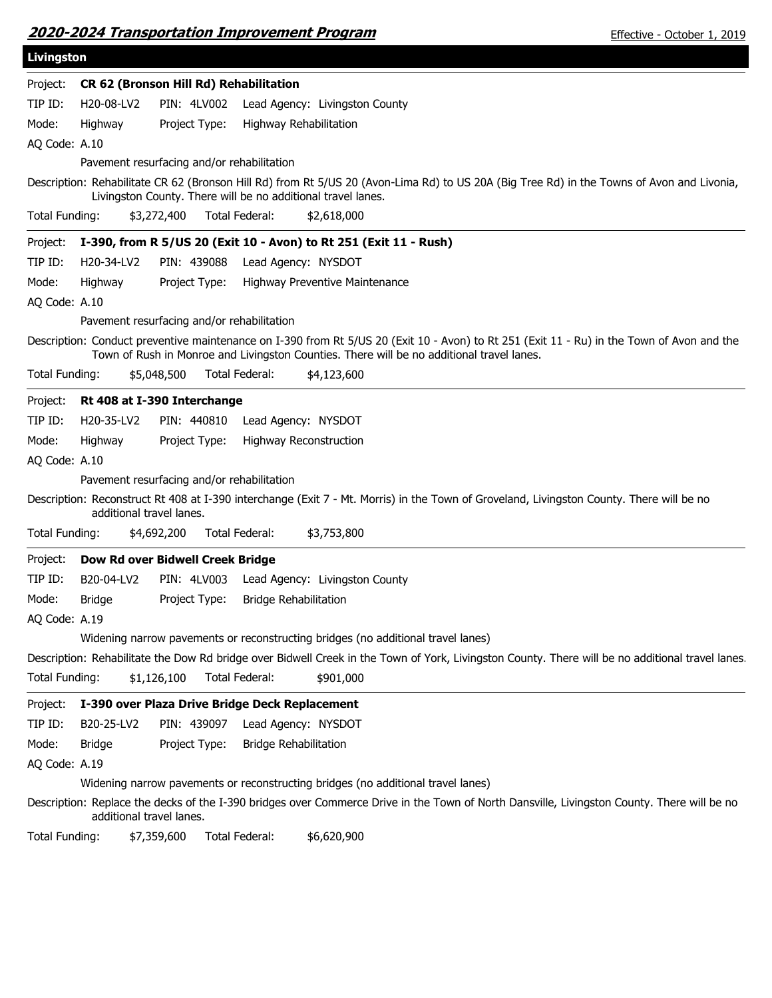|  | 2020-2024 Transportation Improvement Program |
|--|----------------------------------------------|
|  |                                              |

| Livingston     |                          |                                                                   |                              |                                |                                                                                                                                                                                                                                         |
|----------------|--------------------------|-------------------------------------------------------------------|------------------------------|--------------------------------|-----------------------------------------------------------------------------------------------------------------------------------------------------------------------------------------------------------------------------------------|
| Project:       |                          | CR 62 (Bronson Hill Rd) Rehabilitation                            |                              |                                |                                                                                                                                                                                                                                         |
| TIP ID:        | H20-08-LV2               | PIN: 4LV002                                                       |                              | Lead Agency: Livingston County |                                                                                                                                                                                                                                         |
| Mode:          | Highway                  | Project Type:                                                     | Highway Rehabilitation       |                                |                                                                                                                                                                                                                                         |
| AQ Code: A.10  |                          |                                                                   |                              |                                |                                                                                                                                                                                                                                         |
|                |                          | Pavement resurfacing and/or rehabilitation                        |                              |                                |                                                                                                                                                                                                                                         |
|                |                          | Livingston County. There will be no additional travel lanes.      |                              |                                | Description: Rehabilitate CR 62 (Bronson Hill Rd) from Rt 5/US 20 (Avon-Lima Rd) to US 20A (Big Tree Rd) in the Towns of Avon and Livonia,                                                                                              |
| Total Funding: |                          | \$3,272,400                                                       | Total Federal:               | \$2,618,000                    |                                                                                                                                                                                                                                         |
| Project:       |                          | I-390, from R 5/US 20 (Exit 10 - Avon) to Rt 251 (Exit 11 - Rush) |                              |                                |                                                                                                                                                                                                                                         |
| TIP ID:        | H20-34-LV2               | PIN: 439088                                                       |                              | Lead Agency: NYSDOT            |                                                                                                                                                                                                                                         |
| Mode:          | Highway                  | Project Type:                                                     |                              | Highway Preventive Maintenance |                                                                                                                                                                                                                                         |
| AQ Code: A.10  |                          |                                                                   |                              |                                |                                                                                                                                                                                                                                         |
|                |                          | Pavement resurfacing and/or rehabilitation                        |                              |                                |                                                                                                                                                                                                                                         |
|                |                          |                                                                   |                              |                                | Description: Conduct preventive maintenance on I-390 from Rt 5/US 20 (Exit 10 - Avon) to Rt 251 (Exit 11 - Ru) in the Town of Avon and the<br>Town of Rush in Monroe and Livingston Counties. There will be no additional travel lanes. |
| Total Funding: |                          | \$5,048,500                                                       | Total Federal:               | \$4,123,600                    |                                                                                                                                                                                                                                         |
| Project:       |                          | Rt 408 at I-390 Interchange                                       |                              |                                |                                                                                                                                                                                                                                         |
| TIP ID:        | H20-35-LV2               | PIN: 440810                                                       |                              | Lead Agency: NYSDOT            |                                                                                                                                                                                                                                         |
| Mode:          | Highway                  | Project Type:                                                     |                              | <b>Highway Reconstruction</b>  |                                                                                                                                                                                                                                         |
| AQ Code: A.10  |                          |                                                                   |                              |                                |                                                                                                                                                                                                                                         |
|                |                          | Pavement resurfacing and/or rehabilitation                        |                              |                                |                                                                                                                                                                                                                                         |
|                | additional travel lanes. |                                                                   |                              |                                | Description: Reconstruct Rt 408 at I-390 interchange (Exit 7 - Mt. Morris) in the Town of Groveland, Livingston County. There will be no                                                                                                |
| Total Funding: |                          | \$4,692,200                                                       | Total Federal:               | \$3,753,800                    |                                                                                                                                                                                                                                         |
| Project:       |                          | Dow Rd over Bidwell Creek Bridge                                  |                              |                                |                                                                                                                                                                                                                                         |
| TIP ID:        | B20-04-LV2               | PIN: 4LV003                                                       |                              | Lead Agency: Livingston County |                                                                                                                                                                                                                                         |
| Mode:          | <b>Bridge</b>            | Project Type:                                                     | <b>Bridge Rehabilitation</b> |                                |                                                                                                                                                                                                                                         |
| AQ Code: A.19  |                          |                                                                   |                              |                                |                                                                                                                                                                                                                                         |
|                |                          |                                                                   |                              |                                | Widening narrow pavements or reconstructing bridges (no additional travel lanes)                                                                                                                                                        |
|                |                          |                                                                   |                              |                                | Description: Rehabilitate the Dow Rd bridge over Bidwell Creek in the Town of York, Livingston County. There will be no additional travel lanes.                                                                                        |
| Total Funding: |                          | \$1,126,100                                                       | Total Federal:               | \$901,000                      |                                                                                                                                                                                                                                         |
| Project:       |                          | I-390 over Plaza Drive Bridge Deck Replacement                    |                              |                                |                                                                                                                                                                                                                                         |
| TIP ID:        | B20-25-LV2               | PIN: 439097                                                       |                              | Lead Agency: NYSDOT            |                                                                                                                                                                                                                                         |
| Mode:          | Bridge                   | Project Type:                                                     | <b>Bridge Rehabilitation</b> |                                |                                                                                                                                                                                                                                         |
| AQ Code: A.19  |                          |                                                                   |                              |                                |                                                                                                                                                                                                                                         |
|                |                          |                                                                   |                              |                                | Widening narrow pavements or reconstructing bridges (no additional travel lanes)                                                                                                                                                        |
|                | additional travel lanes. |                                                                   |                              |                                | Description: Replace the decks of the I-390 bridges over Commerce Drive in the Town of North Dansville, Livingston County. There will be no                                                                                             |
| Total Funding: |                          | \$7,359,600                                                       | Total Federal:               | \$6,620,900                    |                                                                                                                                                                                                                                         |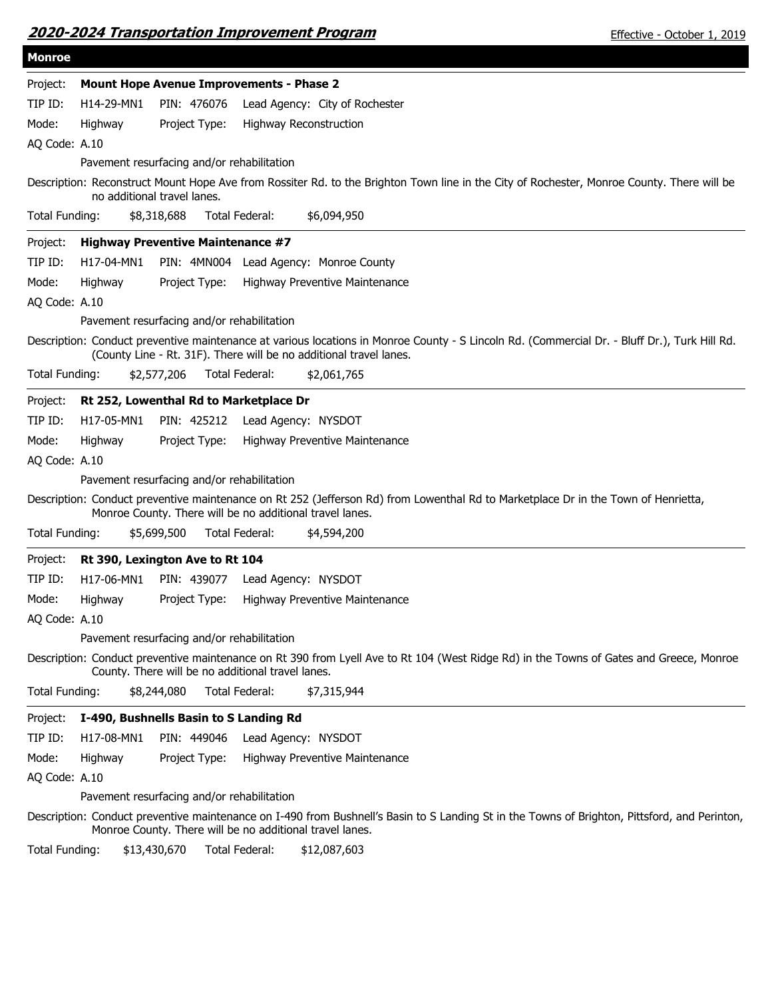| 2020-2024 Transportation Improvement Program |
|----------------------------------------------|
|----------------------------------------------|

| <b>Monroe</b>  |            |                                            |                                                                                                                                                                                                                     |
|----------------|------------|--------------------------------------------|---------------------------------------------------------------------------------------------------------------------------------------------------------------------------------------------------------------------|
| Project:       |            |                                            | <b>Mount Hope Avenue Improvements - Phase 2</b>                                                                                                                                                                     |
| TIP ID:        | H14-29-MN1 | PIN: 476076                                | Lead Agency: City of Rochester                                                                                                                                                                                      |
| Mode:          | Highway    | Project Type:                              | <b>Highway Reconstruction</b>                                                                                                                                                                                       |
| AQ Code: A.10  |            |                                            |                                                                                                                                                                                                                     |
|                |            | Pavement resurfacing and/or rehabilitation |                                                                                                                                                                                                                     |
|                |            | no additional travel lanes.                | Description: Reconstruct Mount Hope Ave from Rossiter Rd. to the Brighton Town line in the City of Rochester, Monroe County. There will be                                                                          |
| Total Funding: |            | \$8,318,688                                | Total Federal:<br>\$6,094,950                                                                                                                                                                                       |
| Project:       |            | <b>Highway Preventive Maintenance #7</b>   |                                                                                                                                                                                                                     |
| TIP ID:        | H17-04-MN1 |                                            | PIN: 4MN004 Lead Agency: Monroe County                                                                                                                                                                              |
| Mode:          | Highway    | Project Type:                              | Highway Preventive Maintenance                                                                                                                                                                                      |
| AQ Code: A.10  |            |                                            |                                                                                                                                                                                                                     |
|                |            | Pavement resurfacing and/or rehabilitation |                                                                                                                                                                                                                     |
|                |            |                                            | Description: Conduct preventive maintenance at various locations in Monroe County - S Lincoln Rd. (Commercial Dr. - Bluff Dr.), Turk Hill Rd.<br>(County Line - Rt. 31F). There will be no additional travel lanes. |
| Total Funding: |            | \$2,577,206                                | Total Federal:<br>\$2,061,765                                                                                                                                                                                       |
| Project:       |            | Rt 252, Lowenthal Rd to Marketplace Dr     |                                                                                                                                                                                                                     |
| TIP ID:        | H17-05-MN1 | PIN: 425212                                | Lead Agency: NYSDOT                                                                                                                                                                                                 |
| Mode:          | Highway    | Project Type:                              | Highway Preventive Maintenance                                                                                                                                                                                      |
| AQ Code: A.10  |            |                                            |                                                                                                                                                                                                                     |
|                |            | Pavement resurfacing and/or rehabilitation |                                                                                                                                                                                                                     |
|                |            |                                            | Description: Conduct preventive maintenance on Rt 252 (Jefferson Rd) from Lowenthal Rd to Marketplace Dr in the Town of Henrietta,<br>Monroe County. There will be no additional travel lanes.                      |
| Total Funding: |            | \$5,699,500                                | Total Federal:<br>\$4,594,200                                                                                                                                                                                       |
| Project:       |            | Rt 390, Lexington Ave to Rt 104            |                                                                                                                                                                                                                     |
| TIP ID:        | H17-06-MN1 | PIN: 439077                                | Lead Agency: NYSDOT                                                                                                                                                                                                 |
| Mode:          | Highway    | Project Type:                              | Highway Preventive Maintenance                                                                                                                                                                                      |
| AQ Code: A.10  |            |                                            |                                                                                                                                                                                                                     |
|                |            | Pavement resurfacing and/or rehabilitation |                                                                                                                                                                                                                     |
|                |            |                                            | Description: Conduct preventive maintenance on Rt 390 from Lyell Ave to Rt 104 (West Ridge Rd) in the Towns of Gates and Greece, Monroe<br>County. There will be no additional travel lanes.                        |
| Total Funding: |            | \$8,244,080                                | <b>Total Federal:</b><br>\$7,315,944                                                                                                                                                                                |
| Project:       |            | I-490, Bushnells Basin to S Landing Rd     |                                                                                                                                                                                                                     |
| TIP ID:        | H17-08-MN1 | PIN: 449046                                | Lead Agency: NYSDOT                                                                                                                                                                                                 |
| Mode:          | Highway    | Project Type:                              | Highway Preventive Maintenance                                                                                                                                                                                      |
| AQ Code: A.10  |            |                                            |                                                                                                                                                                                                                     |
|                |            | Pavement resurfacing and/or rehabilitation |                                                                                                                                                                                                                     |
|                |            |                                            | Description: Conduct preventive maintenance on I-490 from Bushnell's Basin to S Landing St in the Towns of Brighton, Pittsford, and Perinton,<br>Monroe County. There will be no additional travel lanes.           |
| Total Funding: |            | \$13,430,670                               | Total Federal:<br>\$12,087,603                                                                                                                                                                                      |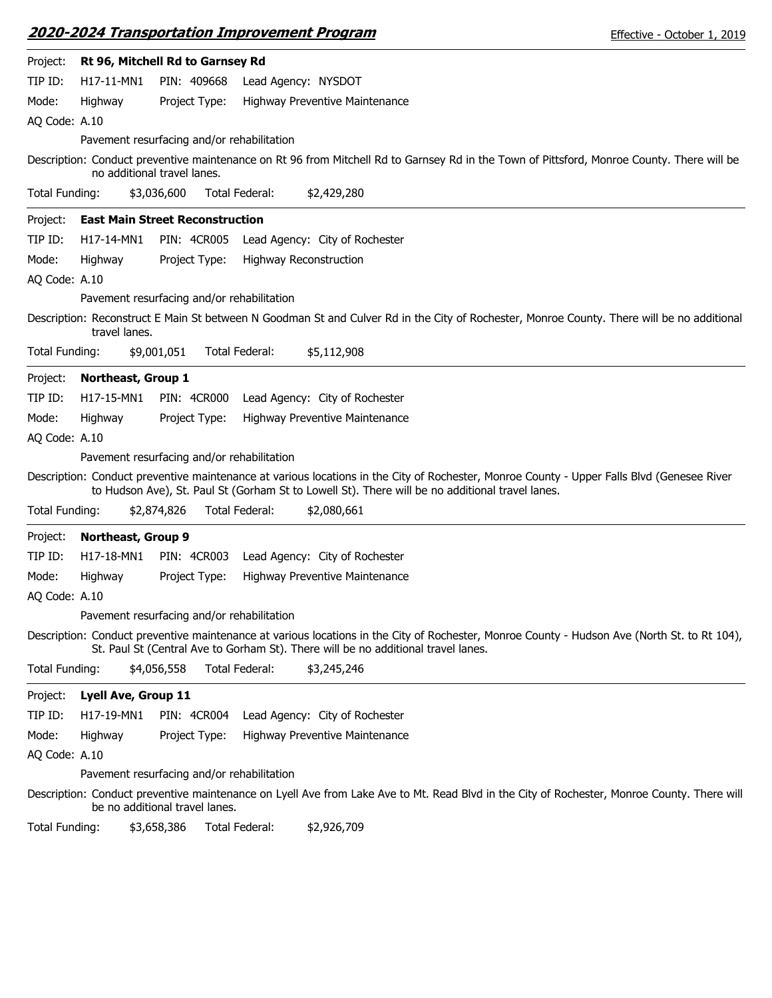|                |               | <u> 2020-2024 Transportation Improvement Program</u> |                |                                |                                                                                                 | Effective - October 1, 2019                                                                                                                  |
|----------------|---------------|------------------------------------------------------|----------------|--------------------------------|-------------------------------------------------------------------------------------------------|----------------------------------------------------------------------------------------------------------------------------------------------|
| Project:       |               | Rt 96, Mitchell Rd to Garnsey Rd                     |                |                                |                                                                                                 |                                                                                                                                              |
| TIP ID:        | H17-11-MN1    | PIN: 409668                                          |                | Lead Agency: NYSDOT            |                                                                                                 |                                                                                                                                              |
| Mode:          | Highway       | Project Type:                                        |                | Highway Preventive Maintenance |                                                                                                 |                                                                                                                                              |
| AQ Code: A.10  |               |                                                      |                |                                |                                                                                                 |                                                                                                                                              |
|                |               | Pavement resurfacing and/or rehabilitation           |                |                                |                                                                                                 |                                                                                                                                              |
|                |               | no additional travel lanes.                          |                |                                |                                                                                                 | Description: Conduct preventive maintenance on Rt 96 from Mitchell Rd to Garnsey Rd in the Town of Pittsford, Monroe County. There will be   |
| Total Funding: |               | \$3,036,600                                          | Total Federal: | \$2,429,280                    |                                                                                                 |                                                                                                                                              |
| Project:       |               | <b>East Main Street Reconstruction</b>               |                |                                |                                                                                                 |                                                                                                                                              |
| TIP ID:        | H17-14-MN1    | <b>PIN: 4CR005</b>                                   |                | Lead Agency: City of Rochester |                                                                                                 |                                                                                                                                              |
| Mode:          | Highway       | Project Type:                                        |                | <b>Highway Reconstruction</b>  |                                                                                                 |                                                                                                                                              |
| AQ Code: A.10  |               |                                                      |                |                                |                                                                                                 |                                                                                                                                              |
|                |               | Pavement resurfacing and/or rehabilitation           |                |                                |                                                                                                 |                                                                                                                                              |
|                | travel lanes. |                                                      |                |                                |                                                                                                 | Description: Reconstruct E Main St between N Goodman St and Culver Rd in the City of Rochester, Monroe County. There will be no additional   |
| Total Funding: |               | \$9,001,051                                          | Total Federal: | \$5,112,908                    |                                                                                                 |                                                                                                                                              |
| Project:       |               | Northeast, Group 1                                   |                |                                |                                                                                                 |                                                                                                                                              |
| TIP ID:        | H17-15-MN1    | <b>PIN: 4CR000</b>                                   |                | Lead Agency: City of Rochester |                                                                                                 |                                                                                                                                              |
| Mode:          | Highway       | Project Type:                                        |                | Highway Preventive Maintenance |                                                                                                 |                                                                                                                                              |
| AQ Code: A.10  |               |                                                      |                |                                |                                                                                                 |                                                                                                                                              |
|                |               | Pavement resurfacing and/or rehabilitation           |                |                                |                                                                                                 |                                                                                                                                              |
|                |               |                                                      |                |                                | to Hudson Ave), St. Paul St (Gorham St to Lowell St). There will be no additional travel lanes. | Description: Conduct preventive maintenance at various locations in the City of Rochester, Monroe County - Upper Falls Blvd (Genesee River   |
| Total Funding: |               | \$2,874,826                                          | Total Federal: | \$2,080,661                    |                                                                                                 |                                                                                                                                              |
| Project:       |               | <b>Northeast, Group 9</b>                            |                |                                |                                                                                                 |                                                                                                                                              |
| TIP ID:        | H17-18-MN1    | <b>PIN: 4CR003</b>                                   |                | Lead Agency: City of Rochester |                                                                                                 |                                                                                                                                              |
| Mode:          | Highway       | Project Type:                                        |                | Highway Preventive Maintenance |                                                                                                 |                                                                                                                                              |
| AQ Code: A.10  |               |                                                      |                |                                |                                                                                                 |                                                                                                                                              |
|                |               | Pavement resurfacing and/or rehabilitation           |                |                                |                                                                                                 |                                                                                                                                              |
|                |               |                                                      |                |                                | St. Paul St (Central Ave to Gorham St). There will be no additional travel lanes.               | Description: Conduct preventive maintenance at various locations in the City of Rochester, Monroe County - Hudson Ave (North St. to Rt 104), |
| Total Funding: |               | \$4,056,558                                          | Total Federal: | \$3,245,246                    |                                                                                                 |                                                                                                                                              |
| Project:       |               | <b>Lyell Ave, Group 11</b>                           |                |                                |                                                                                                 |                                                                                                                                              |
| TIP ID:        | H17-19-MN1    | <b>PIN: 4CR004</b>                                   |                | Lead Agency: City of Rochester |                                                                                                 |                                                                                                                                              |
| Mode:          | Highway       | Project Type:                                        |                | Highway Preventive Maintenance |                                                                                                 |                                                                                                                                              |
| AQ Code: A.10  |               |                                                      |                |                                |                                                                                                 |                                                                                                                                              |
|                |               | Pavement resurfacing and/or rehabilitation           |                |                                |                                                                                                 |                                                                                                                                              |
|                |               | be no additional travel lanes.                       |                |                                |                                                                                                 | Description: Conduct preventive maintenance on Lyell Ave from Lake Ave to Mt. Read Blvd in the City of Rochester, Monroe County. There will  |
| Total Funding: |               | \$3,658,386                                          | Total Federal: | \$2,926,709                    |                                                                                                 |                                                                                                                                              |
|                |               |                                                      |                |                                |                                                                                                 |                                                                                                                                              |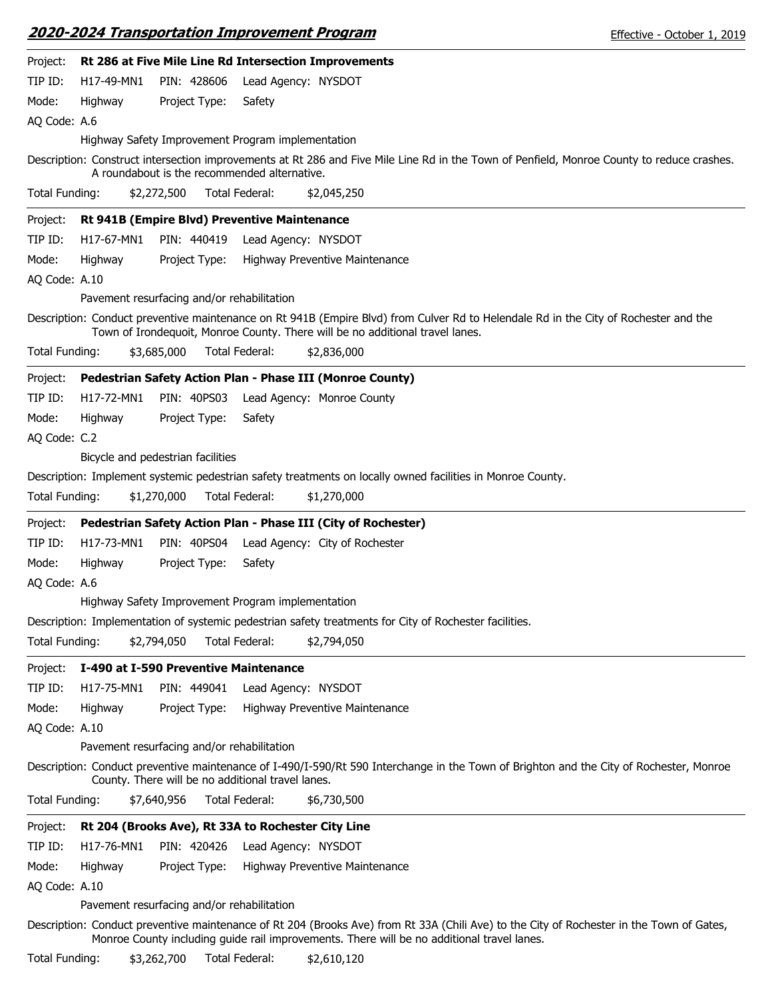|--|

| Effective - October 1, 2019 |  |
|-----------------------------|--|
|-----------------------------|--|

| Project:       |            |                                            | Rt 286 at Five Mile Line Rd Intersection Improvements                                                                                                                                                                 |
|----------------|------------|--------------------------------------------|-----------------------------------------------------------------------------------------------------------------------------------------------------------------------------------------------------------------------|
| TIP ID:        | H17-49-MN1 | PIN: 428606                                | Lead Agency: NYSDOT                                                                                                                                                                                                   |
| Mode:          | Highway    | Project Type:                              | Safety                                                                                                                                                                                                                |
| AQ Code: A.6   |            |                                            |                                                                                                                                                                                                                       |
|                |            |                                            | Highway Safety Improvement Program implementation                                                                                                                                                                     |
|                |            |                                            | Description: Construct intersection improvements at Rt 286 and Five Mile Line Rd in the Town of Penfield, Monroe County to reduce crashes.<br>A roundabout is the recommended alternative.                            |
| Total Funding: |            | \$2,272,500                                | Total Federal:<br>\$2,045,250                                                                                                                                                                                         |
| Project:       |            |                                            | Rt 941B (Empire Blvd) Preventive Maintenance                                                                                                                                                                          |
| TIP ID:        | H17-67-MN1 | PIN: 440419                                | Lead Agency: NYSDOT                                                                                                                                                                                                   |
| Mode:          | Highway    | Project Type:                              | Highway Preventive Maintenance                                                                                                                                                                                        |
| AQ Code: A.10  |            |                                            |                                                                                                                                                                                                                       |
|                |            | Pavement resurfacing and/or rehabilitation |                                                                                                                                                                                                                       |
|                |            |                                            | Description: Conduct preventive maintenance on Rt 941B (Empire Blvd) from Culver Rd to Helendale Rd in the City of Rochester and the<br>Town of Irondequoit, Monroe County. There will be no additional travel lanes. |
| Total Funding: |            | \$3,685,000                                | Total Federal:<br>\$2,836,000                                                                                                                                                                                         |
| Project:       |            |                                            | Pedestrian Safety Action Plan - Phase III (Monroe County)                                                                                                                                                             |
| TIP ID:        | H17-72-MN1 | PIN: 40PS03                                | Lead Agency: Monroe County                                                                                                                                                                                            |
| Mode:          | Highway    | Project Type:                              | Safety                                                                                                                                                                                                                |
| AQ Code: C.2   |            |                                            |                                                                                                                                                                                                                       |
|                |            | Bicycle and pedestrian facilities          |                                                                                                                                                                                                                       |
|                |            |                                            | Description: Implement systemic pedestrian safety treatments on locally owned facilities in Monroe County.                                                                                                            |
| Total Funding: |            | \$1,270,000                                | Total Federal:<br>\$1,270,000                                                                                                                                                                                         |
| Project:       |            |                                            | Pedestrian Safety Action Plan - Phase III (City of Rochester)                                                                                                                                                         |
| TIP ID:        | H17-73-MN1 | PIN: 40PS04                                | Lead Agency: City of Rochester                                                                                                                                                                                        |
| Mode:          | Highway    | Project Type:                              | Safety                                                                                                                                                                                                                |
| AQ Code: A.6   |            |                                            |                                                                                                                                                                                                                       |
|                |            |                                            | Highway Safety Improvement Program implementation                                                                                                                                                                     |
|                |            |                                            | Description: Implementation of systemic pedestrian safety treatments for City of Rochester facilities.                                                                                                                |
| Total Funding: |            | \$2,794,050                                | Total Federal:<br>\$2,794,050                                                                                                                                                                                         |
| Project:       |            | I-490 at I-590 Preventive Maintenance      |                                                                                                                                                                                                                       |
| TIP ID:        | H17-75-MN1 | PIN: 449041                                | Lead Agency: NYSDOT                                                                                                                                                                                                   |
| Mode:          | Highway    | Project Type:                              | Highway Preventive Maintenance                                                                                                                                                                                        |
| AQ Code: A.10  |            |                                            |                                                                                                                                                                                                                       |
|                |            | Pavement resurfacing and/or rehabilitation |                                                                                                                                                                                                                       |
|                |            |                                            | Description: Conduct preventive maintenance of I-490/I-590/Rt 590 Interchange in the Town of Brighton and the City of Rochester, Monroe<br>County. There will be no additional travel lanes.                          |
| Total Funding: |            | \$7,640,956                                | Total Federal:<br>\$6,730,500                                                                                                                                                                                         |
| Project:       |            |                                            | Rt 204 (Brooks Ave), Rt 33A to Rochester City Line                                                                                                                                                                    |
| TIP ID:        | H17-76-MN1 | PIN: 420426                                | Lead Agency: NYSDOT                                                                                                                                                                                                   |
| Mode:          | Highway    | Project Type:                              | Highway Preventive Maintenance                                                                                                                                                                                        |
| AQ Code: A.10  |            |                                            |                                                                                                                                                                                                                       |
|                |            | Pavement resurfacing and/or rehabilitation |                                                                                                                                                                                                                       |
|                |            |                                            | Description: Conduct preventive maintenance of Rt 204 (Brooks Ave) from Rt 33A (Chili Ave) to the City of Rochester in the Town of Gates,                                                                             |

Total Funding: \$3,262,700 Total Federal: \$2,610,120

Monroe County including guide rail improvements. There will be no additional travel lanes.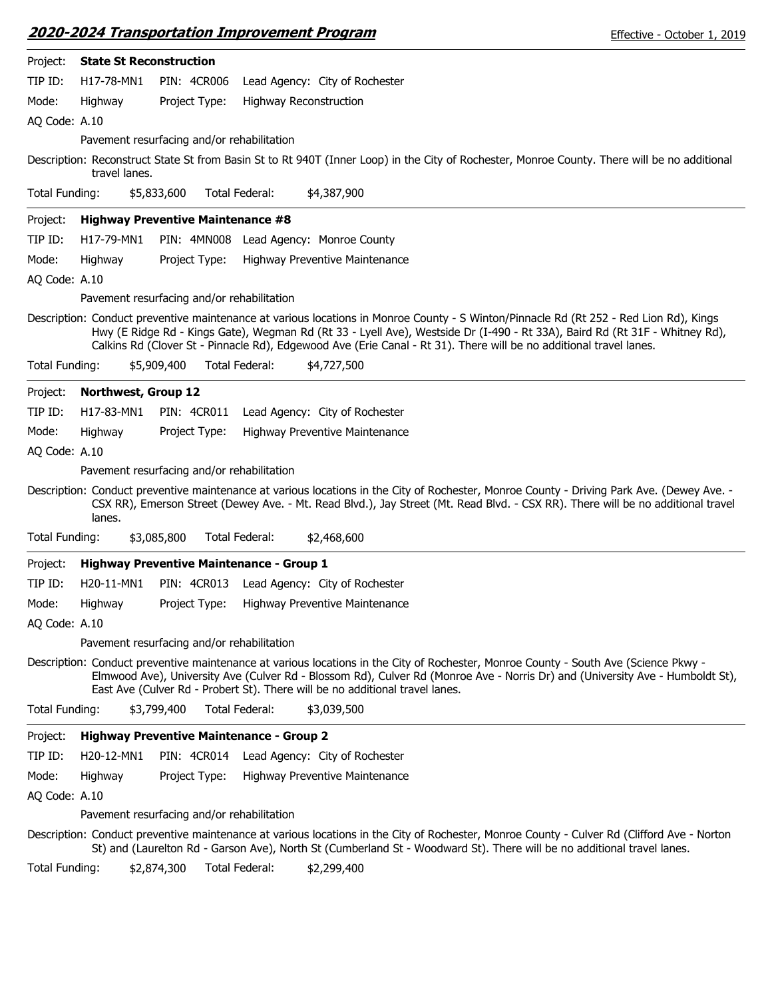| Project:       | <b>State St Reconstruction</b>      |                                                                                                                                                                                                                                                                                                                                                                                             |
|----------------|-------------------------------------|---------------------------------------------------------------------------------------------------------------------------------------------------------------------------------------------------------------------------------------------------------------------------------------------------------------------------------------------------------------------------------------------|
| TIP ID:        | H17-78-MN1                          | <b>PIN: 4CR006</b><br>Lead Agency: City of Rochester                                                                                                                                                                                                                                                                                                                                        |
| Mode:          | Highway                             | Project Type:<br><b>Highway Reconstruction</b>                                                                                                                                                                                                                                                                                                                                              |
| AQ Code: A.10  |                                     |                                                                                                                                                                                                                                                                                                                                                                                             |
|                |                                     | Pavement resurfacing and/or rehabilitation                                                                                                                                                                                                                                                                                                                                                  |
|                | travel lanes.                       | Description: Reconstruct State St from Basin St to Rt 940T (Inner Loop) in the City of Rochester, Monroe County. There will be no additional                                                                                                                                                                                                                                                |
| Total Funding: |                                     | Total Federal:<br>\$4,387,900<br>\$5,833,600                                                                                                                                                                                                                                                                                                                                                |
| Project:       |                                     | <b>Highway Preventive Maintenance #8</b>                                                                                                                                                                                                                                                                                                                                                    |
| TIP ID:        | H17-79-MN1                          | PIN: 4MN008 Lead Agency: Monroe County                                                                                                                                                                                                                                                                                                                                                      |
| Mode:          | Highway                             | Project Type:<br>Highway Preventive Maintenance                                                                                                                                                                                                                                                                                                                                             |
| AQ Code: A.10  |                                     |                                                                                                                                                                                                                                                                                                                                                                                             |
|                |                                     | Pavement resurfacing and/or rehabilitation                                                                                                                                                                                                                                                                                                                                                  |
|                |                                     | Description: Conduct preventive maintenance at various locations in Monroe County - S Winton/Pinnacle Rd (Rt 252 - Red Lion Rd), Kings<br>Hwy (E Ridge Rd - Kings Gate), Wegman Rd (Rt 33 - Lyell Ave), Westside Dr (I-490 - Rt 33A), Baird Rd (Rt 31F - Whitney Rd),<br>Calkins Rd (Clover St - Pinnacle Rd), Edgewood Ave (Erie Canal - Rt 31). There will be no additional travel lanes. |
| Total Funding: |                                     | \$5,909,400<br>Total Federal:<br>\$4,727,500                                                                                                                                                                                                                                                                                                                                                |
| Project:       | Northwest, Group 12                 |                                                                                                                                                                                                                                                                                                                                                                                             |
| TIP ID:        | H17-83-MN1                          | PIN: 4CR011<br>Lead Agency: City of Rochester                                                                                                                                                                                                                                                                                                                                               |
| Mode:          | Highway                             | Project Type:<br>Highway Preventive Maintenance                                                                                                                                                                                                                                                                                                                                             |
| AQ Code: A.10  |                                     |                                                                                                                                                                                                                                                                                                                                                                                             |
|                |                                     | Pavement resurfacing and/or rehabilitation                                                                                                                                                                                                                                                                                                                                                  |
|                | lanes.                              | Description: Conduct preventive maintenance at various locations in the City of Rochester, Monroe County - Driving Park Ave. (Dewey Ave. -<br>CSX RR), Emerson Street (Dewey Ave. - Mt. Read Blvd.), Jay Street (Mt. Read Blvd. - CSX RR). There will be no additional travel                                                                                                               |
| Total Funding: |                                     | Total Federal:<br>\$2,468,600<br>\$3,085,800                                                                                                                                                                                                                                                                                                                                                |
| Project:       |                                     | <b>Highway Preventive Maintenance - Group 1</b>                                                                                                                                                                                                                                                                                                                                             |
| TIP ID:        | H20-11-MN1                          | PIN: 4CR013<br>Lead Agency: City of Rochester                                                                                                                                                                                                                                                                                                                                               |
| Mode:          | Highway                             | Project Type:<br>Highway Preventive Maintenance                                                                                                                                                                                                                                                                                                                                             |
| AQ Code: A.10  |                                     |                                                                                                                                                                                                                                                                                                                                                                                             |
|                |                                     | Pavement resurfacing and/or rehabilitation                                                                                                                                                                                                                                                                                                                                                  |
|                |                                     | Description: Conduct preventive maintenance at various locations in the City of Rochester, Monroe County - South Ave (Science Pkwy -<br>Elmwood Ave), University Ave (Culver Rd - Blossom Rd), Culver Rd (Monroe Ave - Norris Dr) and (University Ave - Humboldt St),<br>East Ave (Culver Rd - Probert St). There will be no additional travel lanes.                                       |
| Total Funding: |                                     | Total Federal:<br>\$3,799,400<br>\$3,039,500                                                                                                                                                                                                                                                                                                                                                |
| Project:       |                                     | <b>Highway Preventive Maintenance - Group 2</b>                                                                                                                                                                                                                                                                                                                                             |
| TIP ID:        | H <sub>20</sub> -12-MN <sub>1</sub> | PIN: 4CR014 Lead Agency: City of Rochester                                                                                                                                                                                                                                                                                                                                                  |
| Mode:          | Highway                             | Project Type:<br>Highway Preventive Maintenance                                                                                                                                                                                                                                                                                                                                             |
| AQ Code: A.10  |                                     |                                                                                                                                                                                                                                                                                                                                                                                             |
|                |                                     | Pavement resurfacing and/or rehabilitation                                                                                                                                                                                                                                                                                                                                                  |
|                |                                     | Description: Conduct preventive maintenance at various locations in the City of Rochester, Monroe County - Culver Rd (Clifford Ave - Norton<br>St) and (Laurelton Rd - Garson Ave), North St (Cumberland St - Woodward St). There will be no additional travel lanes.                                                                                                                       |

Total Funding: \$2,874,300 Total Federal: \$2,299,400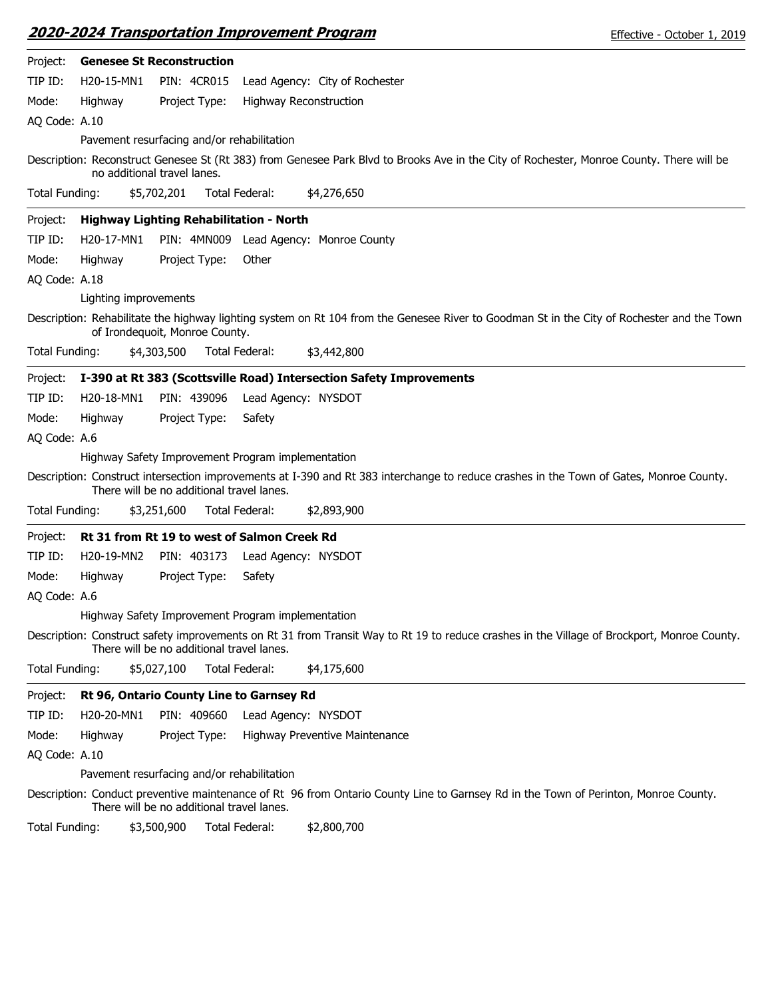| Effective - October 1, 2019 |  |  |
|-----------------------------|--|--|
|-----------------------------|--|--|

| Project:              |                       | <b>Genesee St Reconstruction</b>           |                                                                                                                                             |
|-----------------------|-----------------------|--------------------------------------------|---------------------------------------------------------------------------------------------------------------------------------------------|
| TIP ID:               | H20-15-MN1            | PIN: 4CR015                                | Lead Agency: City of Rochester                                                                                                              |
| Mode:                 | Highway               | Project Type:                              | Highway Reconstruction                                                                                                                      |
| AQ Code: A.10         |                       |                                            |                                                                                                                                             |
|                       |                       | Pavement resurfacing and/or rehabilitation |                                                                                                                                             |
|                       |                       | no additional travel lanes.                | Description: Reconstruct Genesee St (Rt 383) from Genesee Park Blvd to Brooks Ave in the City of Rochester, Monroe County. There will be    |
| Total Funding:        |                       | \$5,702,201                                | Total Federal:<br>\$4,276,650                                                                                                               |
| Project:              |                       | Highway Lighting Rehabilitation - North    |                                                                                                                                             |
| TIP ID:               | H20-17-MN1            |                                            | PIN: 4MN009 Lead Agency: Monroe County                                                                                                      |
| Mode:                 | Highway               | Project Type:                              | Other                                                                                                                                       |
| AQ Code: A.18         |                       |                                            |                                                                                                                                             |
|                       | Lighting improvements |                                            |                                                                                                                                             |
|                       |                       | of Irondequoit, Monroe County.             | Description: Rehabilitate the highway lighting system on Rt 104 from the Genesee River to Goodman St in the City of Rochester and the Town  |
| <b>Total Funding:</b> |                       | \$4,303,500                                | Total Federal:<br>\$3,442,800                                                                                                               |
| Project:              |                       |                                            | I-390 at Rt 383 (Scottsville Road) Intersection Safety Improvements                                                                         |
| TIP ID:               | H20-18-MN1            | PIN: 439096                                | Lead Agency: NYSDOT                                                                                                                         |
| Mode:                 | Highway               | Project Type:                              | Safety                                                                                                                                      |
| AQ Code: A.6          |                       |                                            |                                                                                                                                             |
|                       |                       |                                            | Highway Safety Improvement Program implementation                                                                                           |
|                       |                       | There will be no additional travel lanes.  | Description: Construct intersection improvements at I-390 and Rt 383 interchange to reduce crashes in the Town of Gates, Monroe County.     |
| Total Funding:        |                       | \$3,251,600                                | Total Federal:<br>\$2,893,900                                                                                                               |
| Project:              |                       |                                            | Rt 31 from Rt 19 to west of Salmon Creek Rd                                                                                                 |
| TIP ID:               | H20-19-MN2            | PIN: 403173                                | Lead Agency: NYSDOT                                                                                                                         |
| Mode:                 | Highway               | Project Type:                              | Safety                                                                                                                                      |
| AQ Code: A.6          |                       |                                            |                                                                                                                                             |
|                       |                       |                                            | Highway Safety Improvement Program implementation                                                                                           |
|                       |                       | There will be no additional travel lanes.  | Description: Construct safety improvements on Rt 31 from Transit Way to Rt 19 to reduce crashes in the Village of Brockport, Monroe County. |
| Total Funding:        |                       | \$5,027,100                                | Total Federal:<br>\$4,175,600                                                                                                               |
| Project:              |                       | Rt 96, Ontario County Line to Garnsey Rd   |                                                                                                                                             |
| TIP ID:               | H20-20-MN1            | PIN: 409660                                | Lead Agency: NYSDOT                                                                                                                         |
| Mode:                 | Highway               | Project Type:                              | Highway Preventive Maintenance                                                                                                              |
| AQ Code: A.10         |                       |                                            |                                                                                                                                             |
|                       |                       | Pavement resurfacing and/or rehabilitation |                                                                                                                                             |
|                       |                       | There will be no additional travel lanes.  | Description: Conduct preventive maintenance of Rt 96 from Ontario County Line to Garnsey Rd in the Town of Perinton, Monroe County.         |

Total Funding: \$3,500,900 Total Federal: \$2,800,700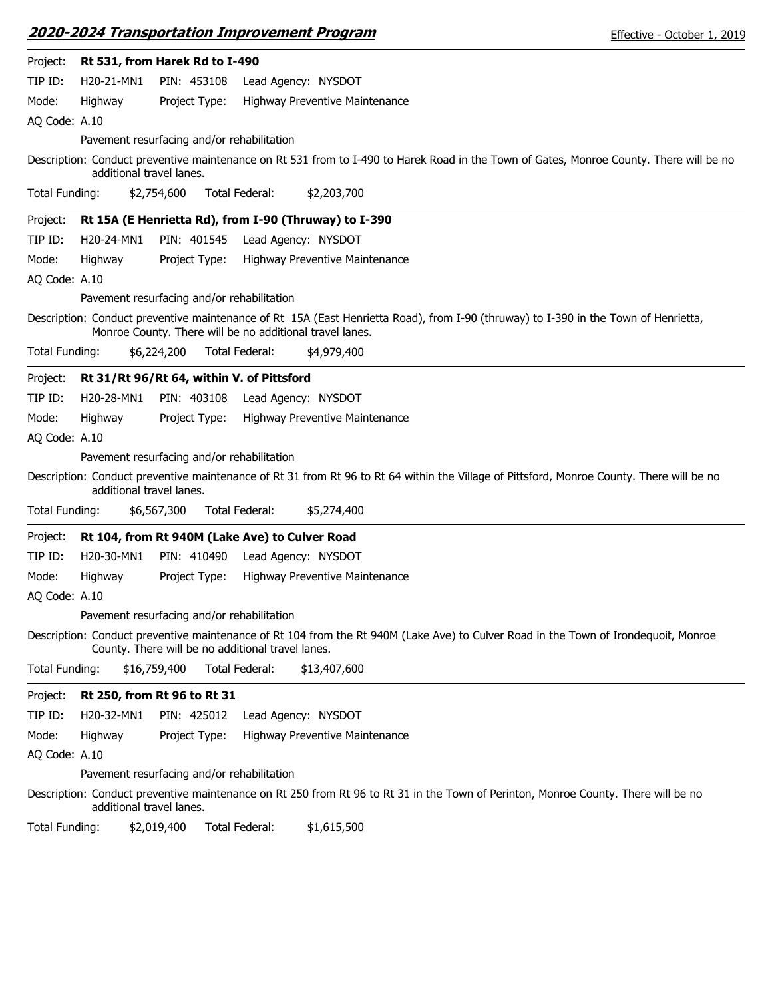|                |                          |                                                          |                       | <b>2020-2024 Transportation Improvement Program</b>   | Effective - October 1, 2019                                                                                                               |
|----------------|--------------------------|----------------------------------------------------------|-----------------------|-------------------------------------------------------|-------------------------------------------------------------------------------------------------------------------------------------------|
| Project:       |                          | Rt 531, from Harek Rd to I-490                           |                       |                                                       |                                                                                                                                           |
| TIP ID:        | H20-21-MN1               | PIN: 453108                                              |                       | Lead Agency: NYSDOT                                   |                                                                                                                                           |
| Mode:          | Highway                  | Project Type:                                            |                       | Highway Preventive Maintenance                        |                                                                                                                                           |
| AQ Code: A.10  |                          |                                                          |                       |                                                       |                                                                                                                                           |
|                |                          | Pavement resurfacing and/or rehabilitation               |                       |                                                       |                                                                                                                                           |
|                | additional travel lanes. |                                                          |                       |                                                       | Description: Conduct preventive maintenance on Rt 531 from to I-490 to Harek Road in the Town of Gates, Monroe County. There will be no   |
| Total Funding: |                          | \$2,754,600                                              | <b>Total Federal:</b> | \$2,203,700                                           |                                                                                                                                           |
| Project:       |                          |                                                          |                       | Rt 15A (E Henrietta Rd), from I-90 (Thruway) to I-390 |                                                                                                                                           |
| TIP ID:        | H20-24-MN1               | PIN: 401545                                              |                       | Lead Agency: NYSDOT                                   |                                                                                                                                           |
| Mode:          | Highway                  | Project Type:                                            |                       | Highway Preventive Maintenance                        |                                                                                                                                           |
| AQ Code: A.10  |                          |                                                          |                       |                                                       |                                                                                                                                           |
|                |                          | Pavement resurfacing and/or rehabilitation               |                       |                                                       |                                                                                                                                           |
|                |                          | Monroe County. There will be no additional travel lanes. |                       |                                                       | Description: Conduct preventive maintenance of Rt 15A (East Henrietta Road), from I-90 (thruway) to I-390 in the Town of Henrietta,       |
| Total Funding: |                          | \$6,224,200                                              | Total Federal:        | \$4,979,400                                           |                                                                                                                                           |
| Project:       |                          | Rt 31/Rt 96/Rt 64, within V. of Pittsford                |                       |                                                       |                                                                                                                                           |
| TIP ID:        | H20-28-MN1               | PIN: 403108                                              |                       | Lead Agency: NYSDOT                                   |                                                                                                                                           |
| Mode:          | Highway                  | Project Type:                                            |                       | Highway Preventive Maintenance                        |                                                                                                                                           |
| AQ Code: A.10  |                          |                                                          |                       |                                                       |                                                                                                                                           |
|                |                          | Pavement resurfacing and/or rehabilitation               |                       |                                                       |                                                                                                                                           |
|                | additional travel lanes. |                                                          |                       |                                                       | Description: Conduct preventive maintenance of Rt 31 from Rt 96 to Rt 64 within the Village of Pittsford, Monroe County. There will be no |
| Total Funding: |                          | \$6,567,300                                              | Total Federal:        | \$5,274,400                                           |                                                                                                                                           |
| Project:       |                          | Rt 104, from Rt 940M (Lake Ave) to Culver Road           |                       |                                                       |                                                                                                                                           |
| TIP ID:        | H20-30-MN1               | PIN: 410490                                              |                       | Lead Agency: NYSDOT                                   |                                                                                                                                           |
| Mode:          | Highway                  | Project Type:                                            |                       | Highway Preventive Maintenance                        |                                                                                                                                           |
| AQ Code: A.10  |                          |                                                          |                       |                                                       |                                                                                                                                           |
|                |                          | Pavement resurfacing and/or rehabilitation               |                       |                                                       |                                                                                                                                           |
|                |                          | County. There will be no additional travel lanes.        |                       |                                                       | Description: Conduct preventive maintenance of Rt 104 from the Rt 940M (Lake Ave) to Culver Road in the Town of Irondequoit, Monroe       |
| Total Funding: |                          | \$16,759,400                                             | Total Federal:        | \$13,407,600                                          |                                                                                                                                           |
| Project:       |                          | Rt 250, from Rt 96 to Rt 31                              |                       |                                                       |                                                                                                                                           |
| TIP ID:        | H20-32-MN1               | PIN: 425012                                              |                       | Lead Agency: NYSDOT                                   |                                                                                                                                           |
| Mode:          | Highway                  | Project Type:                                            |                       | Highway Preventive Maintenance                        |                                                                                                                                           |
| AQ Code: A.10  |                          |                                                          |                       |                                                       |                                                                                                                                           |
|                |                          | Pavement resurfacing and/or rehabilitation               |                       |                                                       |                                                                                                                                           |
|                | additional travel lanes. |                                                          |                       |                                                       | Description: Conduct preventive maintenance on Rt 250 from Rt 96 to Rt 31 in the Town of Perinton, Monroe County. There will be no        |
| Total Funding: |                          | \$2,019,400                                              | Total Federal:        | \$1,615,500                                           |                                                                                                                                           |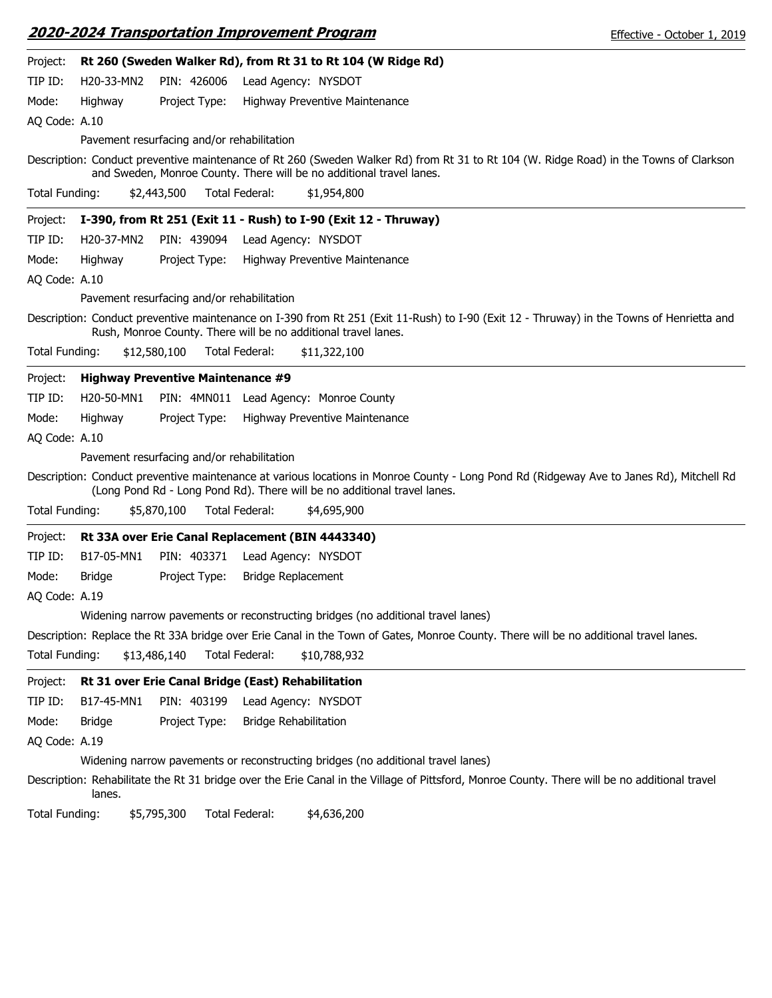|                       |               |                                                    |                       | <b>2020-2024 Transportation Improvement Program</b>                              |                                                                                                                                       | Effective - October 1, 2019                                                                                                                   |
|-----------------------|---------------|----------------------------------------------------|-----------------------|----------------------------------------------------------------------------------|---------------------------------------------------------------------------------------------------------------------------------------|-----------------------------------------------------------------------------------------------------------------------------------------------|
| Project:              |               |                                                    |                       | Rt 260 (Sweden Walker Rd), from Rt 31 to Rt 104 (W Ridge Rd)                     |                                                                                                                                       |                                                                                                                                               |
| TIP ID:               | H20-33-MN2    | PIN: 426006                                        |                       | Lead Agency: NYSDOT                                                              |                                                                                                                                       |                                                                                                                                               |
| Mode:                 | Highway       | Project Type:                                      |                       | Highway Preventive Maintenance                                                   |                                                                                                                                       |                                                                                                                                               |
| AQ Code: A.10         |               |                                                    |                       |                                                                                  |                                                                                                                                       |                                                                                                                                               |
|                       |               | Pavement resurfacing and/or rehabilitation         |                       |                                                                                  |                                                                                                                                       |                                                                                                                                               |
|                       |               |                                                    |                       | and Sweden, Monroe County. There will be no additional travel lanes.             |                                                                                                                                       | Description: Conduct preventive maintenance of Rt 260 (Sweden Walker Rd) from Rt 31 to Rt 104 (W. Ridge Road) in the Towns of Clarkson        |
| <b>Total Funding:</b> |               | \$2,443,500                                        | <b>Total Federal:</b> | \$1,954,800                                                                      |                                                                                                                                       |                                                                                                                                               |
| Project:              |               |                                                    |                       | I-390, from Rt 251 (Exit 11 - Rush) to I-90 (Exit 12 - Thruway)                  |                                                                                                                                       |                                                                                                                                               |
| TIP ID:               | H20-37-MN2    | PIN: 439094                                        |                       | Lead Agency: NYSDOT                                                              |                                                                                                                                       |                                                                                                                                               |
| Mode:                 | Highway       | Project Type:                                      |                       | Highway Preventive Maintenance                                                   |                                                                                                                                       |                                                                                                                                               |
| AQ Code: A.10         |               |                                                    |                       |                                                                                  |                                                                                                                                       |                                                                                                                                               |
|                       |               | Pavement resurfacing and/or rehabilitation         |                       |                                                                                  |                                                                                                                                       |                                                                                                                                               |
|                       |               |                                                    |                       | Rush, Monroe County. There will be no additional travel lanes.                   |                                                                                                                                       | Description: Conduct preventive maintenance on I-390 from Rt 251 (Exit 11-Rush) to I-90 (Exit 12 - Thruway) in the Towns of Henrietta and     |
| Total Funding:        |               | \$12,580,100                                       | Total Federal:        | \$11,322,100                                                                     |                                                                                                                                       |                                                                                                                                               |
| Project:              |               | <b>Highway Preventive Maintenance #9</b>           |                       |                                                                                  |                                                                                                                                       |                                                                                                                                               |
| TIP ID:               | H20-50-MN1    |                                                    |                       | PIN: 4MN011 Lead Agency: Monroe County                                           |                                                                                                                                       |                                                                                                                                               |
| Mode:                 | Highway       | Project Type:                                      |                       | Highway Preventive Maintenance                                                   |                                                                                                                                       |                                                                                                                                               |
| AQ Code: A.10         |               |                                                    |                       |                                                                                  |                                                                                                                                       |                                                                                                                                               |
|                       |               | Pavement resurfacing and/or rehabilitation         |                       |                                                                                  |                                                                                                                                       |                                                                                                                                               |
|                       |               |                                                    |                       | (Long Pond Rd - Long Pond Rd). There will be no additional travel lanes.         |                                                                                                                                       | Description: Conduct preventive maintenance at various locations in Monroe County - Long Pond Rd (Ridgeway Ave to Janes Rd), Mitchell Rd      |
| <b>Total Funding:</b> |               | \$5,870,100                                        | Total Federal:        | \$4,695,900                                                                      |                                                                                                                                       |                                                                                                                                               |
| Project:              |               |                                                    |                       | Rt 33A over Erie Canal Replacement (BIN 4443340)                                 |                                                                                                                                       |                                                                                                                                               |
| TIP ID:               | B17-05-MN1    | PIN: 403371                                        |                       | Lead Agency: NYSDOT                                                              |                                                                                                                                       |                                                                                                                                               |
| Mode:                 | <b>Bridge</b> | Project Type:                                      |                       | <b>Bridge Replacement</b>                                                        |                                                                                                                                       |                                                                                                                                               |
| AQ Code: A.19         |               |                                                    |                       |                                                                                  |                                                                                                                                       |                                                                                                                                               |
|                       |               |                                                    |                       | Widening narrow pavements or reconstructing bridges (no additional travel lanes) |                                                                                                                                       |                                                                                                                                               |
|                       |               |                                                    |                       |                                                                                  | Description: Replace the Rt 33A bridge over Erie Canal in the Town of Gates, Monroe County. There will be no additional travel lanes. |                                                                                                                                               |
| <b>Total Funding:</b> |               | \$13,486,140                                       | Total Federal:        | \$10,788,932                                                                     |                                                                                                                                       |                                                                                                                                               |
| Project:              |               | Rt 31 over Erie Canal Bridge (East) Rehabilitation |                       |                                                                                  |                                                                                                                                       |                                                                                                                                               |
| TIP ID:               | B17-45-MN1    | PIN: 403199                                        |                       | Lead Agency: NYSDOT                                                              |                                                                                                                                       |                                                                                                                                               |
| Mode:                 | Bridge        | Project Type:                                      |                       | <b>Bridge Rehabilitation</b>                                                     |                                                                                                                                       |                                                                                                                                               |
| AQ Code: A.19         |               |                                                    |                       |                                                                                  |                                                                                                                                       |                                                                                                                                               |
|                       |               |                                                    |                       | Widening narrow pavements or reconstructing bridges (no additional travel lanes) |                                                                                                                                       |                                                                                                                                               |
|                       | lanes.        |                                                    |                       |                                                                                  |                                                                                                                                       | Description: Rehabilitate the Rt 31 bridge over the Erie Canal in the Village of Pittsford, Monroe County. There will be no additional travel |
| Total Funding:        |               | \$5,795,300                                        | Total Federal:        | \$4,636,200                                                                      |                                                                                                                                       |                                                                                                                                               |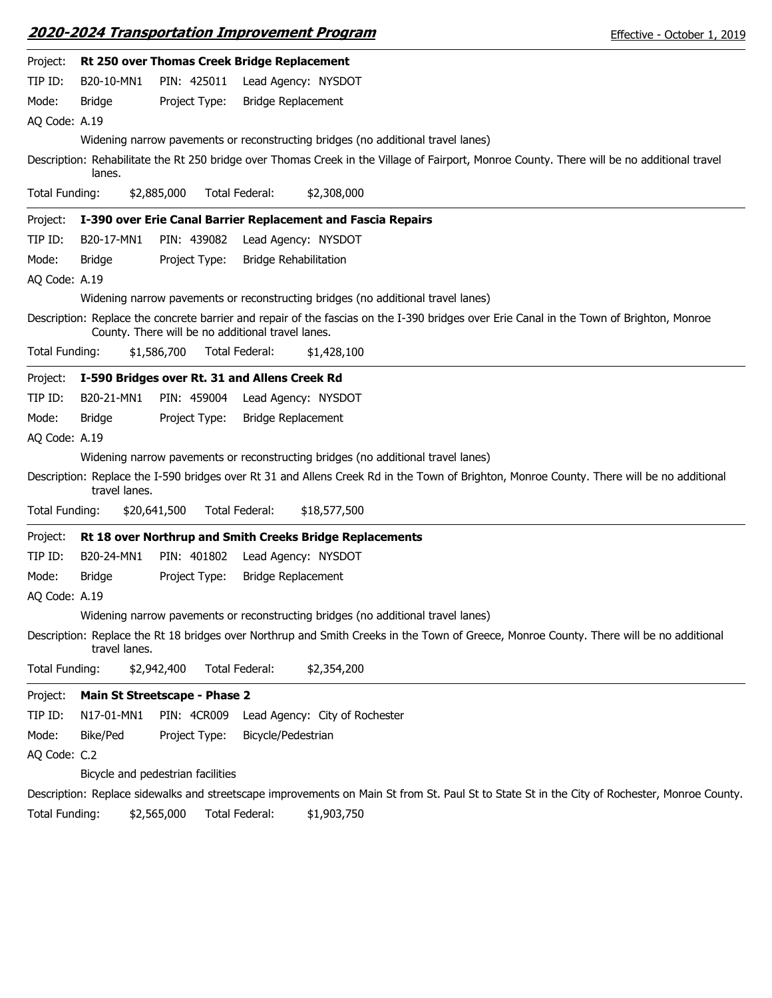|                |               |                                                   |                    | 2020-2024 Transportation Improvement Program                                     | Effective - October 1, 2019                                                                                                                  |
|----------------|---------------|---------------------------------------------------|--------------------|----------------------------------------------------------------------------------|----------------------------------------------------------------------------------------------------------------------------------------------|
| Project:       |               | Rt 250 over Thomas Creek Bridge Replacement       |                    |                                                                                  |                                                                                                                                              |
| TIP ID:        | B20-10-MN1    | PIN: 425011                                       |                    | Lead Agency: NYSDOT                                                              |                                                                                                                                              |
| Mode:          | Bridge        | Project Type:                                     |                    | <b>Bridge Replacement</b>                                                        |                                                                                                                                              |
| AQ Code: A.19  |               |                                                   |                    |                                                                                  |                                                                                                                                              |
|                |               |                                                   |                    | Widening narrow pavements or reconstructing bridges (no additional travel lanes) |                                                                                                                                              |
|                | lanes.        |                                                   |                    |                                                                                  | Description: Rehabilitate the Rt 250 bridge over Thomas Creek in the Village of Fairport, Monroe County. There will be no additional travel  |
| Total Funding: |               | \$2,885,000                                       | Total Federal:     | \$2,308,000                                                                      |                                                                                                                                              |
| Project:       |               |                                                   |                    | I-390 over Erie Canal Barrier Replacement and Fascia Repairs                     |                                                                                                                                              |
| TIP ID:        | B20-17-MN1    | PIN: 439082                                       |                    | Lead Agency: NYSDOT                                                              |                                                                                                                                              |
| Mode:          | <b>Bridge</b> | Project Type:                                     |                    | <b>Bridge Rehabilitation</b>                                                     |                                                                                                                                              |
| AQ Code: A.19  |               |                                                   |                    |                                                                                  |                                                                                                                                              |
|                |               |                                                   |                    | Widening narrow pavements or reconstructing bridges (no additional travel lanes) |                                                                                                                                              |
|                |               | County. There will be no additional travel lanes. |                    |                                                                                  | Description: Replace the concrete barrier and repair of the fascias on the I-390 bridges over Erie Canal in the Town of Brighton, Monroe     |
| Total Funding: |               | \$1,586,700                                       | Total Federal:     | \$1,428,100                                                                      |                                                                                                                                              |
| Project:       |               | I-590 Bridges over Rt. 31 and Allens Creek Rd     |                    |                                                                                  |                                                                                                                                              |
| TIP ID:        | B20-21-MN1    | PIN: 459004                                       |                    | Lead Agency: NYSDOT                                                              |                                                                                                                                              |
| Mode:          | Bridge        | Project Type:                                     |                    | Bridge Replacement                                                               |                                                                                                                                              |
| AQ Code: A.19  |               |                                                   |                    |                                                                                  |                                                                                                                                              |
|                |               |                                                   |                    | Widening narrow pavements or reconstructing bridges (no additional travel lanes) |                                                                                                                                              |
|                | travel lanes. |                                                   |                    |                                                                                  | Description: Replace the I-590 bridges over Rt 31 and Allens Creek Rd in the Town of Brighton, Monroe County. There will be no additional    |
| Total Funding: |               | \$20,641,500                                      | Total Federal:     | \$18,577,500                                                                     |                                                                                                                                              |
| Project:       |               |                                                   |                    | Rt 18 over Northrup and Smith Creeks Bridge Replacements                         |                                                                                                                                              |
| TIP ID:        | B20-24-MN1    | PIN: 401802                                       |                    | Lead Agency: NYSDOT                                                              |                                                                                                                                              |
| Mode:          | <b>Bridge</b> | Project Type:                                     |                    | <b>Bridge Replacement</b>                                                        |                                                                                                                                              |
| AQ Code: A.19  |               |                                                   |                    |                                                                                  |                                                                                                                                              |
|                |               |                                                   |                    | Widening narrow pavements or reconstructing bridges (no additional travel lanes) |                                                                                                                                              |
|                | travel lanes. |                                                   |                    |                                                                                  | Description: Replace the Rt 18 bridges over Northrup and Smith Creeks in the Town of Greece, Monroe County. There will be no additional      |
| Total Funding: |               | \$2,942,400                                       | Total Federal:     | \$2,354,200                                                                      |                                                                                                                                              |
| Project:       |               | Main St Streetscape - Phase 2                     |                    |                                                                                  |                                                                                                                                              |
| TIP ID:        | N17-01-MN1    | <b>PIN: 4CR009</b>                                |                    | Lead Agency: City of Rochester                                                   |                                                                                                                                              |
| Mode:          | Bike/Ped      | Project Type:                                     | Bicycle/Pedestrian |                                                                                  |                                                                                                                                              |
| AQ Code: C.2   |               |                                                   |                    |                                                                                  |                                                                                                                                              |
|                |               | Bicycle and pedestrian facilities                 |                    |                                                                                  |                                                                                                                                              |
|                |               |                                                   |                    |                                                                                  | Description: Replace sidewalks and streetscape improvements on Main St from St. Paul St to State St in the City of Rochester, Monroe County. |
| Total Funding: |               | \$2,565,000                                       | Total Federal:     | \$1,903,750                                                                      |                                                                                                                                              |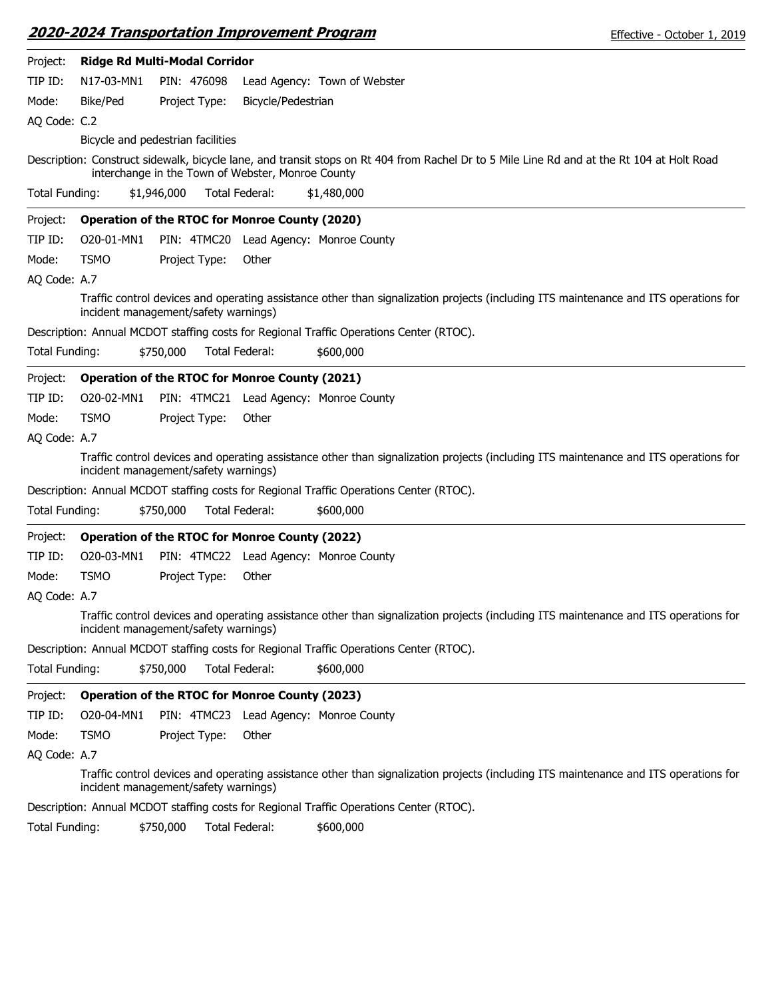| Project:              | Ridge Rd Multi-Modal Corridor        |             |               |                                                       |                                                                                                                                            |
|-----------------------|--------------------------------------|-------------|---------------|-------------------------------------------------------|--------------------------------------------------------------------------------------------------------------------------------------------|
| TIP ID:               | N17-03-MN1                           |             | PIN: 476098   |                                                       | Lead Agency: Town of Webster                                                                                                               |
| Mode:                 | Bike/Ped                             |             | Project Type: | Bicycle/Pedestrian                                    |                                                                                                                                            |
| AQ Code: C.2          |                                      |             |               |                                                       |                                                                                                                                            |
|                       | Bicycle and pedestrian facilities    |             |               |                                                       |                                                                                                                                            |
|                       |                                      |             |               | interchange in the Town of Webster, Monroe County     | Description: Construct sidewalk, bicycle lane, and transit stops on Rt 404 from Rachel Dr to 5 Mile Line Rd and at the Rt 104 at Holt Road |
| Total Funding:        |                                      | \$1,946,000 |               | <b>Total Federal:</b>                                 | \$1,480,000                                                                                                                                |
| Project:              |                                      |             |               | <b>Operation of the RTOC for Monroe County (2020)</b> |                                                                                                                                            |
| TIP ID:               | O20-01-MN1                           |             |               |                                                       | PIN: 4TMC20 Lead Agency: Monroe County                                                                                                     |
| Mode:                 | <b>TSMO</b>                          |             | Project Type: | Other                                                 |                                                                                                                                            |
| AQ Code: A.7          |                                      |             |               |                                                       |                                                                                                                                            |
|                       | incident management/safety warnings) |             |               |                                                       | Traffic control devices and operating assistance other than signalization projects (including ITS maintenance and ITS operations for       |
|                       |                                      |             |               |                                                       | Description: Annual MCDOT staffing costs for Regional Traffic Operations Center (RTOC).                                                    |
| <b>Total Funding:</b> |                                      | \$750,000   |               | Total Federal:                                        | \$600,000                                                                                                                                  |
| Project:              |                                      |             |               | <b>Operation of the RTOC for Monroe County (2021)</b> |                                                                                                                                            |
| TIP ID:               | O20-02-MN1                           |             |               |                                                       | PIN: 4TMC21 Lead Agency: Monroe County                                                                                                     |
| Mode:                 | <b>TSMO</b>                          |             | Project Type: | Other                                                 |                                                                                                                                            |
| AQ Code: A.7          |                                      |             |               |                                                       |                                                                                                                                            |
|                       | incident management/safety warnings) |             |               |                                                       | Traffic control devices and operating assistance other than signalization projects (including ITS maintenance and ITS operations for       |
|                       |                                      |             |               |                                                       | Description: Annual MCDOT staffing costs for Regional Traffic Operations Center (RTOC).                                                    |
| Total Funding:        |                                      | \$750,000   |               | Total Federal:                                        | \$600,000                                                                                                                                  |
| Project:              |                                      |             |               | <b>Operation of the RTOC for Monroe County (2022)</b> |                                                                                                                                            |
| TIP ID:               | O20-03-MN1                           |             |               |                                                       | PIN: 4TMC22 Lead Agency: Monroe County                                                                                                     |
| Mode:                 | <b>TSMO</b>                          |             | Project Type: | Other                                                 |                                                                                                                                            |
| AQ Code: A.7          |                                      |             |               |                                                       |                                                                                                                                            |
|                       | incident management/safety warnings) |             |               |                                                       | Traffic control devices and operating assistance other than signalization projects (including ITS maintenance and ITS operations for       |
|                       |                                      |             |               |                                                       | Description: Annual MCDOT staffing costs for Regional Traffic Operations Center (RTOC).                                                    |
| Total Funding:        |                                      | \$750,000   |               | Total Federal:                                        | \$600,000                                                                                                                                  |
| Project:              |                                      |             |               | <b>Operation of the RTOC for Monroe County (2023)</b> |                                                                                                                                            |
| TIP ID:               | O20-04-MN1                           |             |               |                                                       | PIN: 4TMC23 Lead Agency: Monroe County                                                                                                     |
| Mode:                 | <b>TSMO</b>                          |             | Project Type: | Other                                                 |                                                                                                                                            |
| AQ Code: A.7          |                                      |             |               |                                                       |                                                                                                                                            |
|                       | incident management/safety warnings) |             |               |                                                       | Traffic control devices and operating assistance other than signalization projects (including ITS maintenance and ITS operations for       |
|                       |                                      |             |               |                                                       | Description: Annual MCDOT staffing costs for Regional Traffic Operations Center (RTOC).                                                    |
| Total Funding:        |                                      | \$750,000   |               | Total Federal:                                        | \$600,000                                                                                                                                  |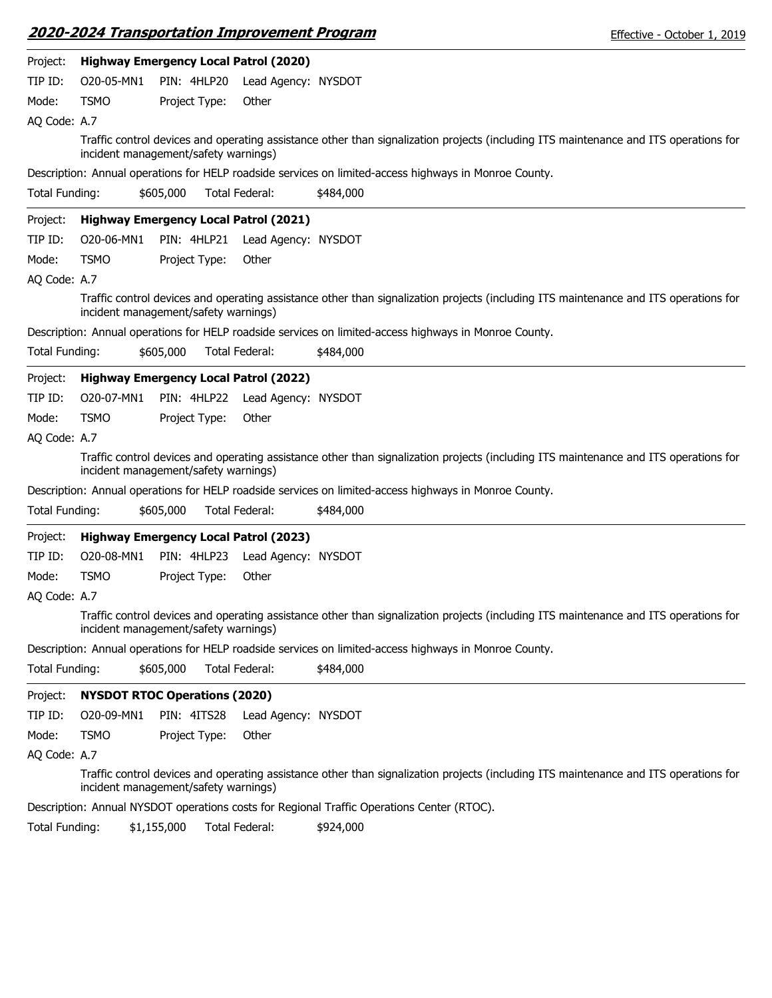|                | 2020-2024 Transportation Improvement Program        |               |                       |                     |                                                                                                        | Effective - October 1, 2019                                                                                                          |
|----------------|-----------------------------------------------------|---------------|-----------------------|---------------------|--------------------------------------------------------------------------------------------------------|--------------------------------------------------------------------------------------------------------------------------------------|
| Project:       | <b>Highway Emergency Local Patrol (2020)</b>        |               |                       |                     |                                                                                                        |                                                                                                                                      |
| TIP ID:        | O20-05-MN1                                          | PIN: 4HLP20   |                       | Lead Agency: NYSDOT |                                                                                                        |                                                                                                                                      |
| Mode:          | <b>TSMO</b>                                         | Project Type: |                       | Other               |                                                                                                        |                                                                                                                                      |
| AQ Code: A.7   |                                                     |               |                       |                     |                                                                                                        |                                                                                                                                      |
|                | incident management/safety warnings)                |               |                       |                     |                                                                                                        | Traffic control devices and operating assistance other than signalization projects (including ITS maintenance and ITS operations for |
|                |                                                     |               |                       |                     | Description: Annual operations for HELP roadside services on limited-access highways in Monroe County. |                                                                                                                                      |
| Total Funding: |                                                     | \$605,000     | Total Federal:        |                     | \$484,000                                                                                              |                                                                                                                                      |
| Project:       | <b>Highway Emergency Local Patrol (2021)</b>        |               |                       |                     |                                                                                                        |                                                                                                                                      |
| TIP ID:        | O20-06-MN1                                          | PIN: 4HLP21   |                       | Lead Agency: NYSDOT |                                                                                                        |                                                                                                                                      |
| Mode:          | <b>TSMO</b>                                         | Project Type: |                       | Other               |                                                                                                        |                                                                                                                                      |
| AQ Code: A.7   |                                                     |               |                       |                     |                                                                                                        |                                                                                                                                      |
|                | incident management/safety warnings)                |               |                       |                     |                                                                                                        | Traffic control devices and operating assistance other than signalization projects (including ITS maintenance and ITS operations for |
|                |                                                     |               |                       |                     | Description: Annual operations for HELP roadside services on limited-access highways in Monroe County. |                                                                                                                                      |
| Total Funding: |                                                     | \$605,000     | Total Federal:        |                     | \$484,000                                                                                              |                                                                                                                                      |
| Project:       | <b>Highway Emergency Local Patrol (2022)</b>        |               |                       |                     |                                                                                                        |                                                                                                                                      |
| TIP ID:        | O20-07-MN1                                          | PIN: 4HLP22   |                       | Lead Agency: NYSDOT |                                                                                                        |                                                                                                                                      |
| Mode:          | <b>TSMO</b>                                         | Project Type: |                       | Other               |                                                                                                        |                                                                                                                                      |
| AQ Code: A.7   |                                                     |               |                       |                     |                                                                                                        |                                                                                                                                      |
|                | incident management/safety warnings)                |               |                       |                     |                                                                                                        | Traffic control devices and operating assistance other than signalization projects (including ITS maintenance and ITS operations for |
|                |                                                     |               |                       |                     | Description: Annual operations for HELP roadside services on limited-access highways in Monroe County. |                                                                                                                                      |
| Total Funding: |                                                     | \$605,000     | <b>Total Federal:</b> |                     | \$484,000                                                                                              |                                                                                                                                      |
| Project:       | <b>Highway Emergency Local Patrol (2023)</b>        |               |                       |                     |                                                                                                        |                                                                                                                                      |
| TIP ID:        | O20-08-MN1                                          | PIN: 4HLP23   |                       | Lead Agency: NYSDOT |                                                                                                        |                                                                                                                                      |
| Mode:          | <b>TSMO</b>                                         | Project Type: |                       | Other               |                                                                                                        |                                                                                                                                      |
| AQ Code: A.7   |                                                     |               |                       |                     |                                                                                                        |                                                                                                                                      |
|                | incident management/safety warnings)                |               |                       |                     |                                                                                                        | Traffic control devices and operating assistance other than signalization projects (including ITS maintenance and ITS operations for |
|                |                                                     |               |                       |                     | Description: Annual operations for HELP roadside services on limited-access highways in Monroe County. |                                                                                                                                      |
| Total Funding: |                                                     | \$605,000     | Total Federal:        |                     | \$484,000                                                                                              |                                                                                                                                      |
| Project:       | <b>NYSDOT RTOC Operations (2020)</b>                |               |                       |                     |                                                                                                        |                                                                                                                                      |
| TIP ID:        | O20-09-MN1                                          | PIN: 4ITS28   |                       | Lead Agency: NYSDOT |                                                                                                        |                                                                                                                                      |
| Mode:          | <b>TSMO</b>                                         | Project Type: |                       | Other               |                                                                                                        |                                                                                                                                      |
| AQ Code: A.7   |                                                     |               |                       |                     |                                                                                                        |                                                                                                                                      |
|                | incident management/safety warnings)                |               |                       |                     |                                                                                                        | Traffic control devices and operating assistance other than signalization projects (including ITS maintenance and ITS operations for |
|                |                                                     |               |                       |                     | Description: Annual NYSDOT operations costs for Regional Traffic Operations Center (RTOC).             |                                                                                                                                      |
|                | Total Funding: the the Total Enderal: the total 000 |               |                       |                     |                                                                                                        |                                                                                                                                      |

Total Funding: \$1,155,000 Total Federal: \$924,000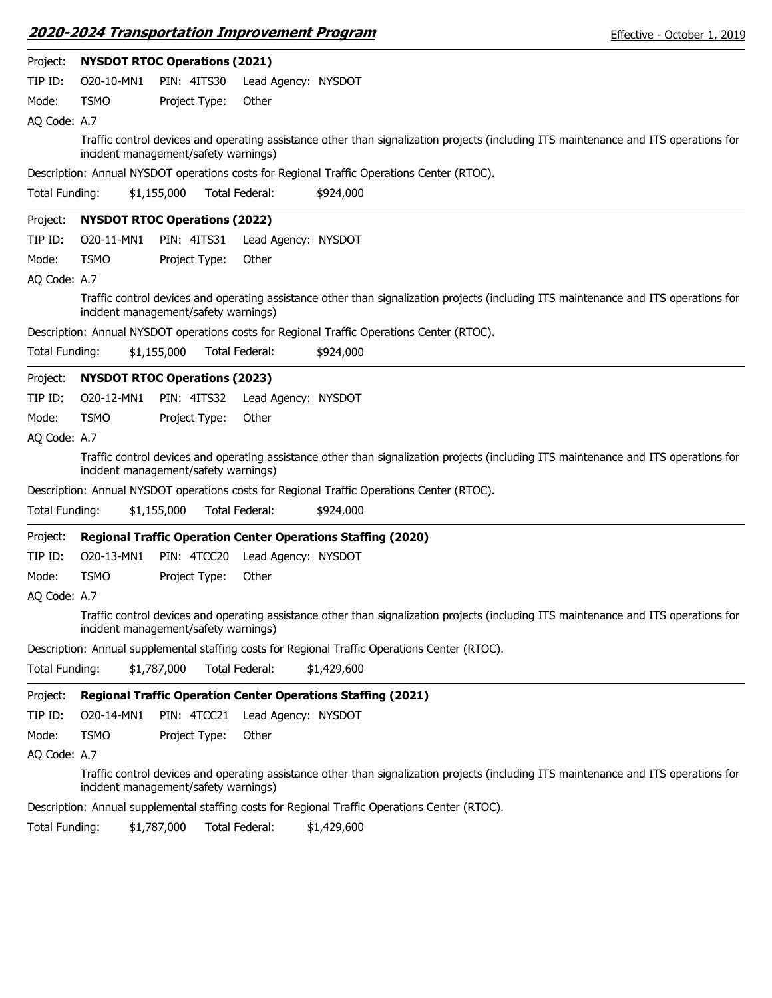|                       |                                      |                    | <b>2020-2024 Transportation Improvement Program</b> |                                                                                                | Effective - October 1, 2019                                                                                                          |
|-----------------------|--------------------------------------|--------------------|-----------------------------------------------------|------------------------------------------------------------------------------------------------|--------------------------------------------------------------------------------------------------------------------------------------|
| Project:              | <b>NYSDOT RTOC Operations (2021)</b> |                    |                                                     |                                                                                                |                                                                                                                                      |
| TIP ID:               | O20-10-MN1                           | PIN: 4ITS30        | Lead Agency: NYSDOT                                 |                                                                                                |                                                                                                                                      |
| Mode:                 | <b>TSMO</b>                          | Project Type:      | Other                                               |                                                                                                |                                                                                                                                      |
| AQ Code: A.7          |                                      |                    |                                                     |                                                                                                |                                                                                                                                      |
|                       | incident management/safety warnings) |                    |                                                     |                                                                                                | Traffic control devices and operating assistance other than signalization projects (including ITS maintenance and ITS operations for |
|                       |                                      |                    |                                                     | Description: Annual NYSDOT operations costs for Regional Traffic Operations Center (RTOC).     |                                                                                                                                      |
| <b>Total Funding:</b> |                                      | \$1,155,000        | Total Federal:                                      | \$924,000                                                                                      |                                                                                                                                      |
| Project:              | <b>NYSDOT RTOC Operations (2022)</b> |                    |                                                     |                                                                                                |                                                                                                                                      |
| TIP ID:               | O20-11-MN1                           | PIN: 4ITS31        | Lead Agency: NYSDOT                                 |                                                                                                |                                                                                                                                      |
| Mode:                 | <b>TSMO</b>                          | Project Type:      | Other                                               |                                                                                                |                                                                                                                                      |
| AQ Code: A.7          |                                      |                    |                                                     |                                                                                                |                                                                                                                                      |
|                       | incident management/safety warnings) |                    |                                                     |                                                                                                | Traffic control devices and operating assistance other than signalization projects (including ITS maintenance and ITS operations for |
|                       |                                      |                    |                                                     | Description: Annual NYSDOT operations costs for Regional Traffic Operations Center (RTOC).     |                                                                                                                                      |
| Total Funding:        |                                      | \$1,155,000        | Total Federal:                                      | \$924,000                                                                                      |                                                                                                                                      |
| Project:              | <b>NYSDOT RTOC Operations (2023)</b> |                    |                                                     |                                                                                                |                                                                                                                                      |
| TIP ID:               | O20-12-MN1                           | <b>PIN: 4ITS32</b> | Lead Agency: NYSDOT                                 |                                                                                                |                                                                                                                                      |
| Mode:                 | <b>TSMO</b>                          | Project Type:      | Other                                               |                                                                                                |                                                                                                                                      |
| AQ Code: A.7          |                                      |                    |                                                     |                                                                                                |                                                                                                                                      |
|                       | incident management/safety warnings) |                    |                                                     |                                                                                                | Traffic control devices and operating assistance other than signalization projects (including ITS maintenance and ITS operations for |
|                       |                                      |                    |                                                     | Description: Annual NYSDOT operations costs for Regional Traffic Operations Center (RTOC).     |                                                                                                                                      |
| Total Funding:        |                                      | \$1,155,000        | Total Federal:                                      | \$924,000                                                                                      |                                                                                                                                      |
| Project:              |                                      |                    |                                                     | <b>Regional Traffic Operation Center Operations Staffing (2020)</b>                            |                                                                                                                                      |
| TIP ID:               | O20-13-MN1                           | PIN: 4TCC20        | Lead Agency: NYSDOT                                 |                                                                                                |                                                                                                                                      |
| Mode:                 | <b>TSMO</b>                          | Project Type:      | Other                                               |                                                                                                |                                                                                                                                      |
| AQ Code: A.7          |                                      |                    |                                                     |                                                                                                |                                                                                                                                      |
|                       | incident management/safety warnings) |                    |                                                     |                                                                                                | Traffic control devices and operating assistance other than signalization projects (including ITS maintenance and ITS operations for |
|                       |                                      |                    |                                                     | Description: Annual supplemental staffing costs for Regional Traffic Operations Center (RTOC). |                                                                                                                                      |
| Total Funding:        |                                      | \$1,787,000        | Total Federal:                                      | \$1,429,600                                                                                    |                                                                                                                                      |
| Project:              |                                      |                    |                                                     | <b>Regional Traffic Operation Center Operations Staffing (2021)</b>                            |                                                                                                                                      |
| TIP ID:               | O20-14-MN1                           | PIN: 4TCC21        | Lead Agency: NYSDOT                                 |                                                                                                |                                                                                                                                      |
| Mode:                 | <b>TSMO</b>                          | Project Type:      | Other                                               |                                                                                                |                                                                                                                                      |
| AQ Code: A.7          |                                      |                    |                                                     |                                                                                                |                                                                                                                                      |
|                       | incident management/safety warnings) |                    |                                                     |                                                                                                | Traffic control devices and operating assistance other than signalization projects (including ITS maintenance and ITS operations for |
|                       |                                      |                    |                                                     | Description: Annual supplemental staffing costs for Regional Traffic Operations Center (RTOC). |                                                                                                                                      |
| Total Funding:        |                                      | \$1,787,000        | Total Federal:                                      | \$1,429,600                                                                                    |                                                                                                                                      |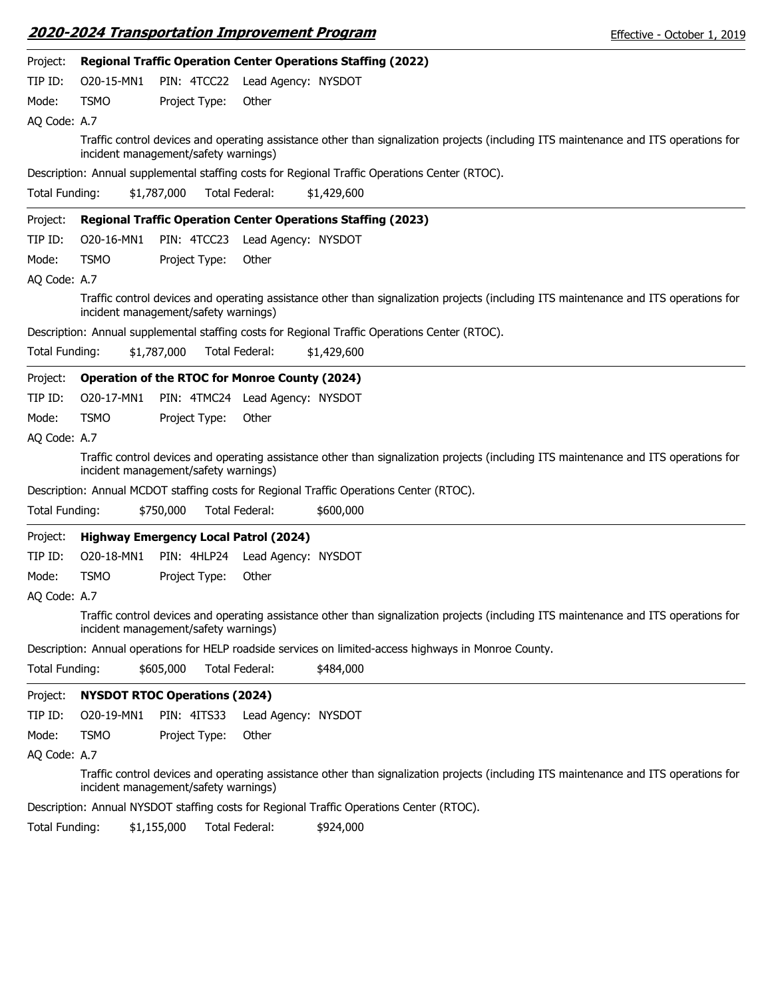|                       |             | <u> 2020-2024 Transportation Improvement Program</u>                |                                 |             | Effective - October 1, 2019                                                                                                          |  |
|-----------------------|-------------|---------------------------------------------------------------------|---------------------------------|-------------|--------------------------------------------------------------------------------------------------------------------------------------|--|
| Project:              |             | <b>Regional Traffic Operation Center Operations Staffing (2022)</b> |                                 |             |                                                                                                                                      |  |
| TIP ID:               | O20-15-MN1  |                                                                     | PIN: 4TCC22 Lead Agency: NYSDOT |             |                                                                                                                                      |  |
| Mode:                 | <b>TSMO</b> | Project Type:                                                       | Other                           |             |                                                                                                                                      |  |
| AQ Code: A.7          |             |                                                                     |                                 |             |                                                                                                                                      |  |
|                       |             | incident management/safety warnings)                                |                                 |             | Traffic control devices and operating assistance other than signalization projects (including ITS maintenance and ITS operations for |  |
|                       |             |                                                                     |                                 |             | Description: Annual supplemental staffing costs for Regional Traffic Operations Center (RTOC).                                       |  |
| Total Funding:        |             | \$1,787,000                                                         | Total Federal:                  | \$1,429,600 |                                                                                                                                      |  |
| Project:              |             | <b>Regional Traffic Operation Center Operations Staffing (2023)</b> |                                 |             |                                                                                                                                      |  |
| TIP ID:               | O20-16-MN1  | PIN: 4TCC23                                                         | Lead Agency: NYSDOT             |             |                                                                                                                                      |  |
| Mode:                 | <b>TSMO</b> | Project Type:                                                       | Other                           |             |                                                                                                                                      |  |
| AQ Code: A.7          |             |                                                                     |                                 |             |                                                                                                                                      |  |
|                       |             | incident management/safety warnings)                                |                                 |             | Traffic control devices and operating assistance other than signalization projects (including ITS maintenance and ITS operations for |  |
|                       |             |                                                                     |                                 |             | Description: Annual supplemental staffing costs for Regional Traffic Operations Center (RTOC).                                       |  |
| Total Funding:        |             | \$1,787,000                                                         | Total Federal:                  | \$1,429,600 |                                                                                                                                      |  |
| Project:              |             | <b>Operation of the RTOC for Monroe County (2024)</b>               |                                 |             |                                                                                                                                      |  |
| TIP ID:               | O20-17-MN1  |                                                                     | PIN: 4TMC24 Lead Agency: NYSDOT |             |                                                                                                                                      |  |
| Mode:                 | <b>TSMO</b> | Project Type:                                                       | Other                           |             |                                                                                                                                      |  |
| AQ Code: A.7          |             |                                                                     |                                 |             |                                                                                                                                      |  |
|                       |             | incident management/safety warnings)                                |                                 |             | Traffic control devices and operating assistance other than signalization projects (including ITS maintenance and ITS operations for |  |
|                       |             |                                                                     |                                 |             | Description: Annual MCDOT staffing costs for Regional Traffic Operations Center (RTOC).                                              |  |
| Total Funding:        |             | \$750,000                                                           | <b>Total Federal:</b>           | \$600,000   |                                                                                                                                      |  |
| Project:              |             | <b>Highway Emergency Local Patrol (2024)</b>                        |                                 |             |                                                                                                                                      |  |
| TIP ID:               | O20-18-MN1  | PIN: 4HLP24                                                         | Lead Agency: NYSDOT             |             |                                                                                                                                      |  |
| Mode:                 | <b>TSMO</b> | Project Type:                                                       | Other                           |             |                                                                                                                                      |  |
| AQ Code: A.7          |             |                                                                     |                                 |             |                                                                                                                                      |  |
|                       |             | incident management/safety warnings)                                |                                 |             | Traffic control devices and operating assistance other than signalization projects (including ITS maintenance and ITS operations for |  |
|                       |             |                                                                     |                                 |             | Description: Annual operations for HELP roadside services on limited-access highways in Monroe County.                               |  |
| <b>Total Funding:</b> |             | \$605,000                                                           | <b>Total Federal:</b>           | \$484,000   |                                                                                                                                      |  |
| Project:              |             | <b>NYSDOT RTOC Operations (2024)</b>                                |                                 |             |                                                                                                                                      |  |
| TIP ID:               | O20-19-MN1  | PIN: 4ITS33                                                         | Lead Agency: NYSDOT             |             |                                                                                                                                      |  |
| Mode:                 | <b>TSMO</b> | Project Type:                                                       | Other                           |             |                                                                                                                                      |  |
| AQ Code: A.7          |             |                                                                     |                                 |             |                                                                                                                                      |  |
|                       |             | incident management/safety warnings)                                |                                 |             | Traffic control devices and operating assistance other than signalization projects (including ITS maintenance and ITS operations for |  |
|                       |             |                                                                     |                                 |             | Description: Annual NYSDOT staffing costs for Regional Traffic Operations Center (RTOC).                                             |  |
|                       |             |                                                                     |                                 |             |                                                                                                                                      |  |

Total Funding: \$1,155,000 Total Federal: \$924,000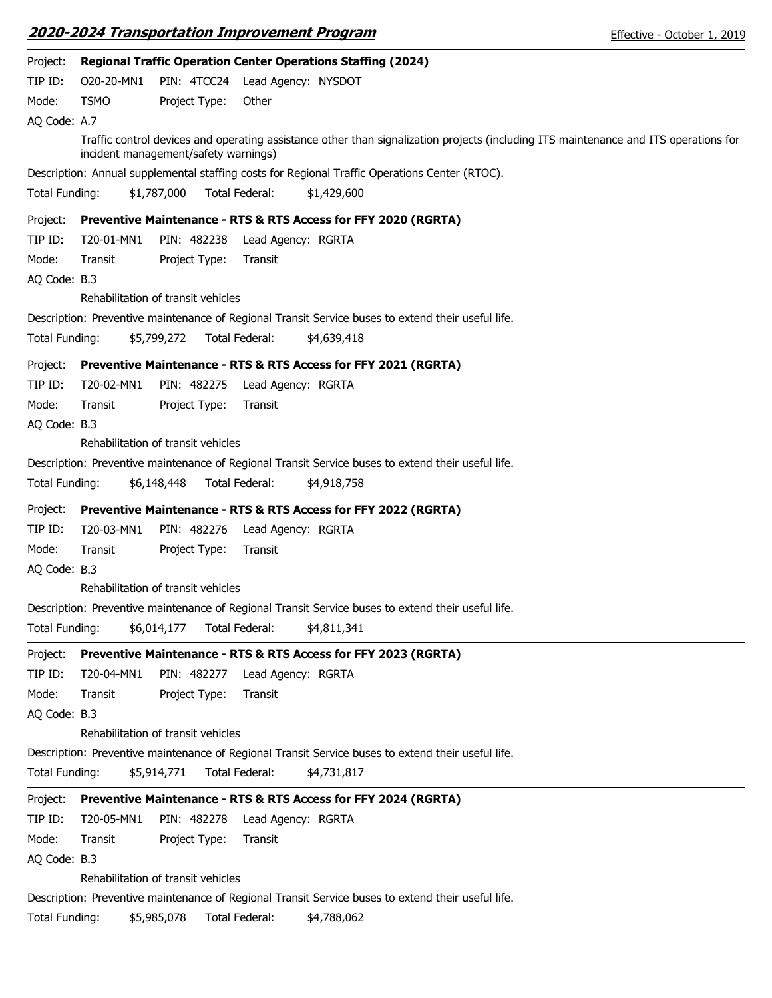|                       |             |                                      |                | 2020-2024 Transportation Improvement Program                        |                                                                                                    | Effective - October 1, 2019                                                                                                          |
|-----------------------|-------------|--------------------------------------|----------------|---------------------------------------------------------------------|----------------------------------------------------------------------------------------------------|--------------------------------------------------------------------------------------------------------------------------------------|
| Project:              |             |                                      |                | <b>Regional Traffic Operation Center Operations Staffing (2024)</b> |                                                                                                    |                                                                                                                                      |
| TIP ID:               | O20-20-MN1  | PIN: 4TCC24 Lead Agency: NYSDOT      |                |                                                                     |                                                                                                    |                                                                                                                                      |
| Mode:                 | <b>TSMO</b> | Project Type:                        | Other          |                                                                     |                                                                                                    |                                                                                                                                      |
| AQ Code: A.7          |             |                                      |                |                                                                     |                                                                                                    |                                                                                                                                      |
|                       |             | incident management/safety warnings) |                |                                                                     |                                                                                                    | Traffic control devices and operating assistance other than signalization projects (including ITS maintenance and ITS operations for |
|                       |             |                                      |                |                                                                     | Description: Annual supplemental staffing costs for Regional Traffic Operations Center (RTOC).     |                                                                                                                                      |
| <b>Total Funding:</b> |             | \$1,787,000                          | Total Federal: | \$1,429,600                                                         |                                                                                                    |                                                                                                                                      |
| Project:              |             |                                      |                | Preventive Maintenance - RTS & RTS Access for FFY 2020 (RGRTA)      |                                                                                                    |                                                                                                                                      |
| TIP ID:               | T20-01-MN1  | PIN: 482238                          |                | Lead Agency: RGRTA                                                  |                                                                                                    |                                                                                                                                      |
| Mode:                 | Transit     | Project Type:                        | Transit        |                                                                     |                                                                                                    |                                                                                                                                      |
| AQ Code: B.3          |             |                                      |                |                                                                     |                                                                                                    |                                                                                                                                      |
|                       |             | Rehabilitation of transit vehicles   |                |                                                                     |                                                                                                    |                                                                                                                                      |
|                       |             |                                      |                |                                                                     | Description: Preventive maintenance of Regional Transit Service buses to extend their useful life. |                                                                                                                                      |
| Total Funding:        |             | \$5,799,272                          | Total Federal: | \$4,639,418                                                         |                                                                                                    |                                                                                                                                      |
| Project:              |             |                                      |                | Preventive Maintenance - RTS & RTS Access for FFY 2021 (RGRTA)      |                                                                                                    |                                                                                                                                      |
| TIP ID:               | T20-02-MN1  | PIN: 482275                          |                | Lead Agency: RGRTA                                                  |                                                                                                    |                                                                                                                                      |
| Mode:                 | Transit     | Project Type:                        | Transit        |                                                                     |                                                                                                    |                                                                                                                                      |
| AQ Code: B.3          |             |                                      |                |                                                                     |                                                                                                    |                                                                                                                                      |
|                       |             | Rehabilitation of transit vehicles   |                |                                                                     |                                                                                                    |                                                                                                                                      |
|                       |             |                                      |                |                                                                     | Description: Preventive maintenance of Regional Transit Service buses to extend their useful life. |                                                                                                                                      |
| Total Funding:        |             | \$6,148,448                          | Total Federal: | \$4,918,758                                                         |                                                                                                    |                                                                                                                                      |
| Project:              |             |                                      |                | Preventive Maintenance - RTS & RTS Access for FFY 2022 (RGRTA)      |                                                                                                    |                                                                                                                                      |
| TIP ID:               | T20-03-MN1  | PIN: 482276                          |                | Lead Agency: RGRTA                                                  |                                                                                                    |                                                                                                                                      |
| Mode:                 | Transit     | Project Type:                        | Transit        |                                                                     |                                                                                                    |                                                                                                                                      |
| AQ Code: B.3          |             |                                      |                |                                                                     |                                                                                                    |                                                                                                                                      |
|                       |             | Rehabilitation of transit vehicles   |                |                                                                     |                                                                                                    |                                                                                                                                      |
|                       |             |                                      |                |                                                                     | Description: Preventive maintenance of Regional Transit Service buses to extend their useful life. |                                                                                                                                      |
| <b>Total Funding:</b> |             | \$6,014,177                          | Total Federal: | \$4,811,341                                                         |                                                                                                    |                                                                                                                                      |
| Project:              |             |                                      |                | Preventive Maintenance - RTS & RTS Access for FFY 2023 (RGRTA)      |                                                                                                    |                                                                                                                                      |
| TIP ID:               | T20-04-MN1  | PIN: 482277                          |                | Lead Agency: RGRTA                                                  |                                                                                                    |                                                                                                                                      |
| Mode:                 | Transit     | Project Type:                        | Transit        |                                                                     |                                                                                                    |                                                                                                                                      |
| AQ Code: B.3          |             |                                      |                |                                                                     |                                                                                                    |                                                                                                                                      |
|                       |             | Rehabilitation of transit vehicles   |                |                                                                     |                                                                                                    |                                                                                                                                      |
|                       |             |                                      |                |                                                                     | Description: Preventive maintenance of Regional Transit Service buses to extend their useful life. |                                                                                                                                      |
| Total Funding:        |             | \$5,914,771                          | Total Federal: | \$4,731,817                                                         |                                                                                                    |                                                                                                                                      |
| Project:              |             |                                      |                | Preventive Maintenance - RTS & RTS Access for FFY 2024 (RGRTA)      |                                                                                                    |                                                                                                                                      |
| TIP ID:               | T20-05-MN1  | PIN: 482278                          |                | Lead Agency: RGRTA                                                  |                                                                                                    |                                                                                                                                      |
| Mode:                 | Transit     | Project Type:                        | Transit        |                                                                     |                                                                                                    |                                                                                                                                      |
| AQ Code: B.3          |             |                                      |                |                                                                     |                                                                                                    |                                                                                                                                      |
|                       |             | Rehabilitation of transit vehicles   |                |                                                                     |                                                                                                    |                                                                                                                                      |
|                       |             |                                      |                |                                                                     | Description: Preventive maintenance of Regional Transit Service buses to extend their useful life. |                                                                                                                                      |
| Total Funding:        |             | \$5,985,078                          | Total Federal: | \$4,788,062                                                         |                                                                                                    |                                                                                                                                      |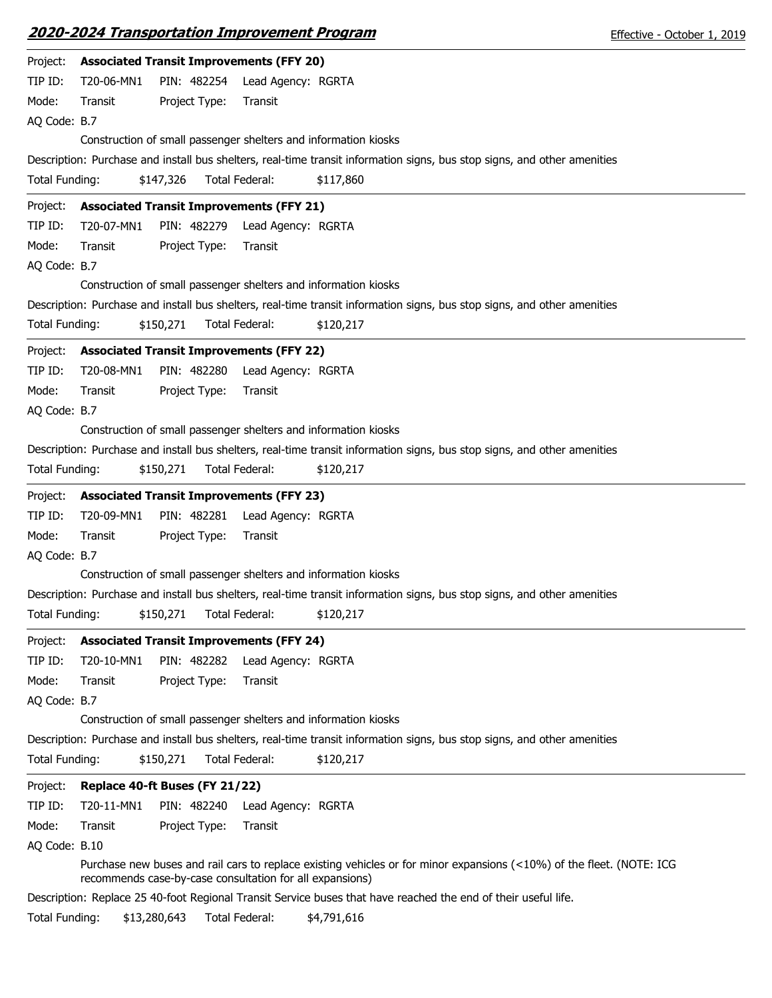| Project:              | <b>Associated Transit Improvements (FFY 20)</b>                                                                                                                                   |
|-----------------------|-----------------------------------------------------------------------------------------------------------------------------------------------------------------------------------|
| TIP ID:               | PIN: 482254<br>T20-06-MN1<br>Lead Agency: RGRTA                                                                                                                                   |
| Mode:                 | Project Type:<br>Transit<br>Transit                                                                                                                                               |
| AQ Code: B.7          |                                                                                                                                                                                   |
|                       | Construction of small passenger shelters and information kiosks                                                                                                                   |
|                       | Description: Purchase and install bus shelters, real-time transit information signs, bus stop signs, and other amenities                                                          |
| <b>Total Funding:</b> | \$147,326<br>Total Federal:<br>\$117,860                                                                                                                                          |
| Project:              | <b>Associated Transit Improvements (FFY 21)</b>                                                                                                                                   |
| TIP ID:               | PIN: 482279<br>T20-07-MN1<br>Lead Agency: RGRTA                                                                                                                                   |
| Mode:                 | Transit<br>Project Type:<br>Transit                                                                                                                                               |
| AQ Code: B.7          |                                                                                                                                                                                   |
|                       | Construction of small passenger shelters and information kiosks                                                                                                                   |
|                       | Description: Purchase and install bus shelters, real-time transit information signs, bus stop signs, and other amenities                                                          |
| Total Funding:        | <b>Total Federal:</b><br>\$150,271<br>\$120,217                                                                                                                                   |
| Project:              | <b>Associated Transit Improvements (FFY 22)</b>                                                                                                                                   |
| TIP ID:               | T20-08-MN1<br>PIN: 482280<br>Lead Agency: RGRTA                                                                                                                                   |
| Mode:                 | Transit<br>Project Type:<br>Transit                                                                                                                                               |
| AQ Code: B.7          |                                                                                                                                                                                   |
|                       | Construction of small passenger shelters and information kiosks                                                                                                                   |
|                       | Description: Purchase and install bus shelters, real-time transit information signs, bus stop signs, and other amenities                                                          |
| Total Funding:        | \$150,271<br>Total Federal:<br>\$120,217                                                                                                                                          |
| Project:              | <b>Associated Transit Improvements (FFY 23)</b>                                                                                                                                   |
| TIP ID:               | T20-09-MN1<br>PIN: 482281<br>Lead Agency: RGRTA                                                                                                                                   |
| Mode:                 | Project Type:<br>Transit<br>Transit                                                                                                                                               |
| AQ Code: B.7          |                                                                                                                                                                                   |
|                       | Construction of small passenger shelters and information kiosks                                                                                                                   |
|                       | Description: Purchase and install bus shelters, real-time transit information signs, bus stop signs, and other amenities                                                          |
| Total Funding:        | \$150,271<br>\$120,217<br>Total Federal:                                                                                                                                          |
| Project:              | <b>Associated Transit Improvements (FFY 24)</b>                                                                                                                                   |
| TIP ID:               | T20-10-MN1<br>PIN: 482282<br>Lead Agency: RGRTA                                                                                                                                   |
| Mode:                 | Transit<br>Project Type:<br>Transit                                                                                                                                               |
| AQ Code: B.7          |                                                                                                                                                                                   |
|                       | Construction of small passenger shelters and information kiosks                                                                                                                   |
|                       | Description: Purchase and install bus shelters, real-time transit information signs, bus stop signs, and other amenities                                                          |
| Total Funding:        | Total Federal:<br>\$150,271<br>\$120,217                                                                                                                                          |
| Project:              | Replace 40-ft Buses (FY 21/22)                                                                                                                                                    |
| TIP ID:               | T20-11-MN1<br>PIN: 482240<br>Lead Agency: RGRTA                                                                                                                                   |
| Mode:                 | Transit<br>Project Type:<br>Transit                                                                                                                                               |
| AQ Code: B.10         |                                                                                                                                                                                   |
|                       | Purchase new buses and rail cars to replace existing vehicles or for minor expansions (<10%) of the fleet. (NOTE: ICG<br>recommends case-by-case consultation for all expansions) |
|                       | Description: Replace 25 40-foot Regional Transit Service buses that have reached the end of their useful life.                                                                    |
| Total Funding:        | \$13,280,643<br>Total Federal:<br>\$4,791,616                                                                                                                                     |
|                       |                                                                                                                                                                                   |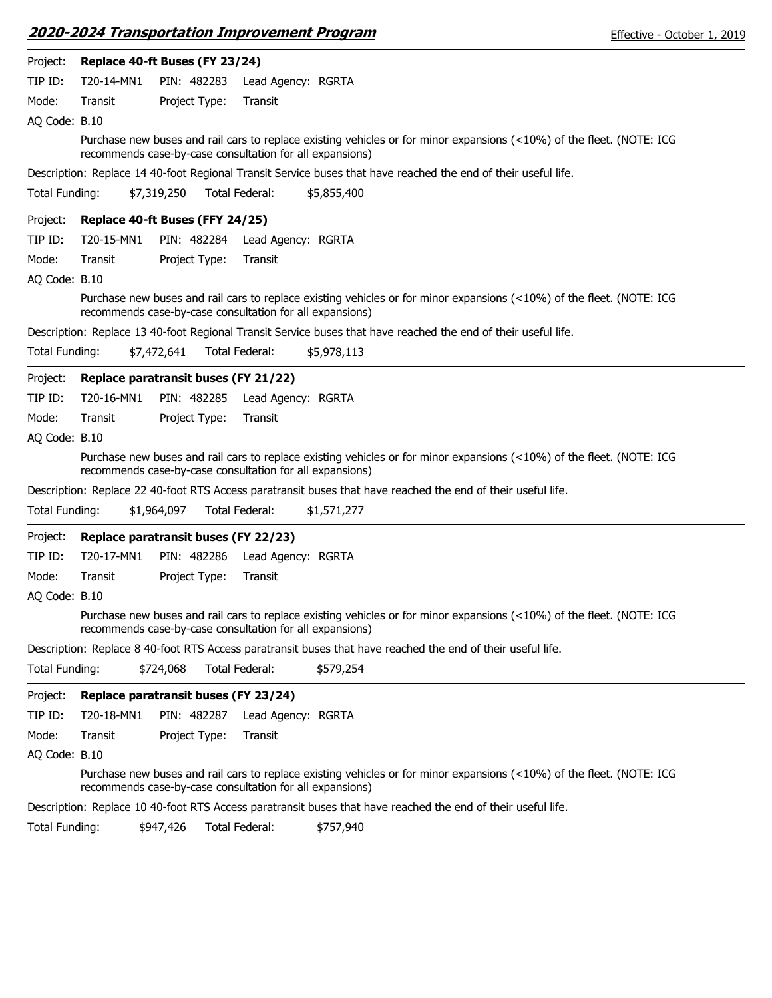|                       |            | <u> 2020-2024 Transportation Improvement Program</u>     |                       |                                                                                                                       | Effective - October 1, 2019 |
|-----------------------|------------|----------------------------------------------------------|-----------------------|-----------------------------------------------------------------------------------------------------------------------|-----------------------------|
| Project:              |            | Replace 40-ft Buses (FY 23/24)                           |                       |                                                                                                                       |                             |
| TIP ID:               | T20-14-MN1 | PIN: 482283                                              | Lead Agency: RGRTA    |                                                                                                                       |                             |
| Mode:                 | Transit    | Project Type:                                            | Transit               |                                                                                                                       |                             |
| AQ Code: B.10         |            |                                                          |                       |                                                                                                                       |                             |
|                       |            | recommends case-by-case consultation for all expansions) |                       | Purchase new buses and rail cars to replace existing vehicles or for minor expansions (<10%) of the fleet. (NOTE: ICG |                             |
|                       |            |                                                          |                       | Description: Replace 14 40-foot Regional Transit Service buses that have reached the end of their useful life.        |                             |
| Total Funding:        |            | \$7,319,250                                              | Total Federal:        | \$5,855,400                                                                                                           |                             |
| Project:              |            | Replace 40-ft Buses (FFY 24/25)                          |                       |                                                                                                                       |                             |
| TIP ID:               | T20-15-MN1 | PIN: 482284                                              | Lead Agency: RGRTA    |                                                                                                                       |                             |
| Mode:                 | Transit    | Project Type:                                            | Transit               |                                                                                                                       |                             |
| AQ Code: B.10         |            |                                                          |                       |                                                                                                                       |                             |
|                       |            | recommends case-by-case consultation for all expansions) |                       | Purchase new buses and rail cars to replace existing vehicles or for minor expansions (<10%) of the fleet. (NOTE: ICG |                             |
|                       |            |                                                          |                       | Description: Replace 13 40-foot Regional Transit Service buses that have reached the end of their useful life.        |                             |
| Total Funding:        |            | \$7,472,641                                              | Total Federal:        | \$5,978,113                                                                                                           |                             |
| Project:              |            | Replace paratransit buses (FY 21/22)                     |                       |                                                                                                                       |                             |
| TIP ID:               | T20-16-MN1 | PIN: 482285                                              | Lead Agency: RGRTA    |                                                                                                                       |                             |
| Mode:                 | Transit    | Project Type:                                            | Transit               |                                                                                                                       |                             |
| AQ Code: B.10         |            |                                                          |                       |                                                                                                                       |                             |
|                       |            | recommends case-by-case consultation for all expansions) |                       | Purchase new buses and rail cars to replace existing vehicles or for minor expansions (<10%) of the fleet. (NOTE: ICG |                             |
|                       |            |                                                          |                       | Description: Replace 22 40-foot RTS Access paratransit buses that have reached the end of their useful life.          |                             |
| Total Funding:        |            | \$1,964,097                                              | Total Federal:        | \$1,571,277                                                                                                           |                             |
| Project:              |            | Replace paratransit buses (FY 22/23)                     |                       |                                                                                                                       |                             |
| TIP ID:               | T20-17-MN1 | PIN: 482286                                              | Lead Agency: RGRTA    |                                                                                                                       |                             |
| Mode:                 | Transit    | Project Type:                                            | Transit               |                                                                                                                       |                             |
| AQ Code: B.10         |            |                                                          |                       |                                                                                                                       |                             |
|                       |            | recommends case-by-case consultation for all expansions) |                       | Purchase new buses and rail cars to replace existing vehicles or for minor expansions (<10%) of the fleet. (NOTE: ICG |                             |
|                       |            |                                                          |                       | Description: Replace 8 40-foot RTS Access paratransit buses that have reached the end of their useful life.           |                             |
| <b>Total Funding:</b> |            | \$724,068                                                | <b>Total Federal:</b> | \$579,254                                                                                                             |                             |
| Project:              |            | Replace paratransit buses (FY 23/24)                     |                       |                                                                                                                       |                             |
| TIP ID:               | T20-18-MN1 | PIN: 482287                                              | Lead Agency: RGRTA    |                                                                                                                       |                             |
| Mode:                 | Transit    | Project Type:                                            | Transit               |                                                                                                                       |                             |
| AQ Code: B.10         |            |                                                          |                       |                                                                                                                       |                             |
|                       |            | recommends case-by-case consultation for all expansions) |                       | Purchase new buses and rail cars to replace existing vehicles or for minor expansions (<10%) of the fleet. (NOTE: ICG |                             |
|                       |            |                                                          |                       | Description: Replace 10 40-foot RTS Access paratransit buses that have reached the end of their useful life.          |                             |
| Total Funding:        |            | \$947,426                                                | Total Federal:        | \$757,940                                                                                                             |                             |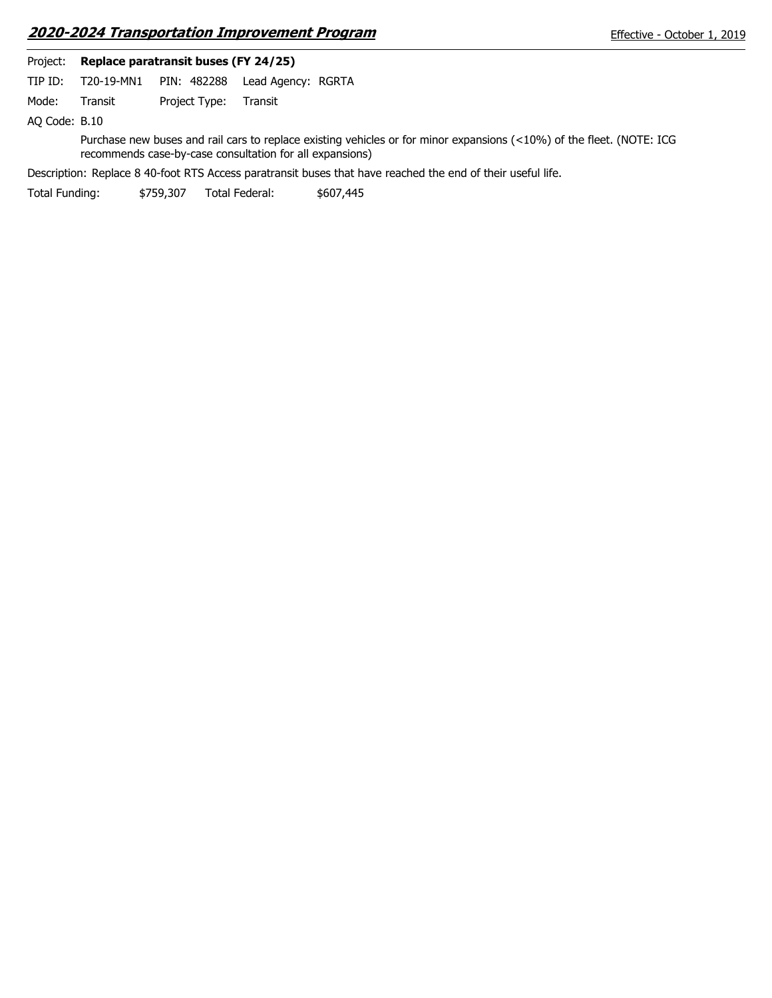|               |            | Project: Replace paratransit buses (FY 24/25) |                                                                                                                                                                                   |
|---------------|------------|-----------------------------------------------|-----------------------------------------------------------------------------------------------------------------------------------------------------------------------------------|
| TIP ID:       | T20-19-MN1 | PIN: 482288                                   | Lead Agency: RGRTA                                                                                                                                                                |
| Mode:         | Transit    | Project Type:                                 | Transit                                                                                                                                                                           |
| AO Code: B.10 |            |                                               |                                                                                                                                                                                   |
|               |            |                                               | Purchase new buses and rail cars to replace existing vehicles or for minor expansions (<10%) of the fleet. (NOTE: ICG<br>recommends case-by-case consultation for all expansions) |
|               |            |                                               | Description: Replace 8 40-foot RTS Access paratransit buses that have reached the end of their useful life.                                                                       |

Total Funding: \$759,307 Total Federal: \$607,445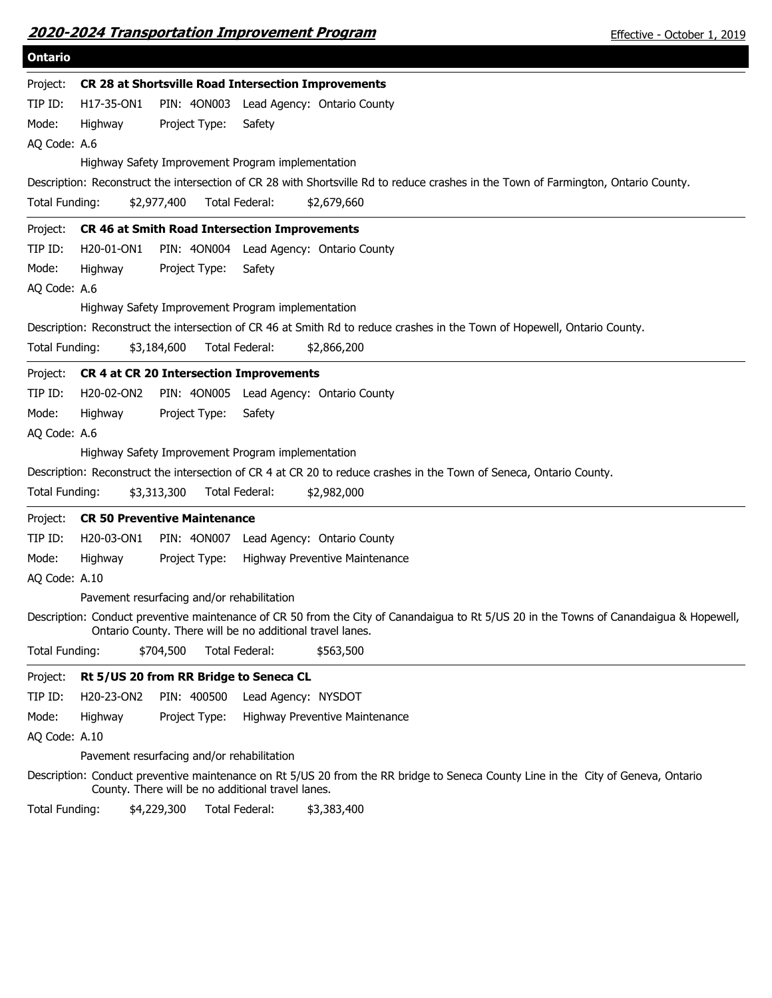| 2020-2024 Transportation Improvement Program |  |  |
|----------------------------------------------|--|--|
|                                              |  |  |

| <b>Ontario</b>        |            |                                            |                                                                                                                                                                                                      |
|-----------------------|------------|--------------------------------------------|------------------------------------------------------------------------------------------------------------------------------------------------------------------------------------------------------|
| Project:              |            |                                            | CR 28 at Shortsville Road Intersection Improvements                                                                                                                                                  |
| TIP ID:               | H17-35-ON1 |                                            | PIN: 40N003 Lead Agency: Ontario County                                                                                                                                                              |
| Mode:                 | Highway    | Project Type:                              | Safety                                                                                                                                                                                               |
| AQ Code: A.6          |            |                                            |                                                                                                                                                                                                      |
|                       |            |                                            | Highway Safety Improvement Program implementation                                                                                                                                                    |
|                       |            |                                            | Description: Reconstruct the intersection of CR 28 with Shortsville Rd to reduce crashes in the Town of Farmington, Ontario County.                                                                  |
| Total Funding:        |            | \$2,977,400                                | Total Federal:<br>\$2,679,660                                                                                                                                                                        |
| Project:              |            |                                            | <b>CR 46 at Smith Road Intersection Improvements</b>                                                                                                                                                 |
| TIP ID:               | H20-01-ON1 |                                            | PIN: 40N004 Lead Agency: Ontario County                                                                                                                                                              |
| Mode:                 | Highway    | Project Type:                              | Safety                                                                                                                                                                                               |
| AQ Code: A.6          |            |                                            |                                                                                                                                                                                                      |
|                       |            |                                            | Highway Safety Improvement Program implementation                                                                                                                                                    |
|                       |            |                                            | Description: Reconstruct the intersection of CR 46 at Smith Rd to reduce crashes in the Town of Hopewell, Ontario County.                                                                            |
| Total Funding:        |            | \$3,184,600                                | Total Federal:<br>\$2,866,200                                                                                                                                                                        |
| Project:              |            |                                            | <b>CR 4 at CR 20 Intersection Improvements</b>                                                                                                                                                       |
| TIP ID:               | H20-02-ON2 |                                            | PIN: 4ON005 Lead Agency: Ontario County                                                                                                                                                              |
| Mode:                 | Highway    | Project Type:                              | Safety                                                                                                                                                                                               |
| AQ Code: A.6          |            |                                            |                                                                                                                                                                                                      |
|                       |            |                                            | Highway Safety Improvement Program implementation                                                                                                                                                    |
|                       |            |                                            | Description: Reconstruct the intersection of CR 4 at CR 20 to reduce crashes in the Town of Seneca, Ontario County.                                                                                  |
| <b>Total Funding:</b> |            | \$3,313,300                                | Total Federal:<br>\$2,982,000                                                                                                                                                                        |
| Project:              |            | <b>CR 50 Preventive Maintenance</b>        |                                                                                                                                                                                                      |
| TIP ID:               | H20-03-ON1 |                                            | PIN: 40N007 Lead Agency: Ontario County                                                                                                                                                              |
| Mode:                 | Highway    | Project Type:                              | Highway Preventive Maintenance                                                                                                                                                                       |
| AQ Code: A.10         |            |                                            |                                                                                                                                                                                                      |
|                       |            | Pavement resurfacing and/or rehabilitation |                                                                                                                                                                                                      |
|                       |            |                                            | Description: Conduct preventive maintenance of CR 50 from the City of Canandaigua to Rt 5/US 20 in the Towns of Canandaigua & Hopewell,<br>Ontario County. There will be no additional travel lanes. |
| Total Funding:        |            | \$704,500                                  | Total Federal:<br>\$563,500                                                                                                                                                                          |
| Project:              |            | Rt 5/US 20 from RR Bridge to Seneca CL     |                                                                                                                                                                                                      |
| TIP ID:               | H20-23-ON2 | PIN: 400500                                | Lead Agency: NYSDOT                                                                                                                                                                                  |
| Mode:                 | Highway    | Project Type:                              | Highway Preventive Maintenance                                                                                                                                                                       |
| AQ Code: A.10         |            |                                            |                                                                                                                                                                                                      |
|                       |            | Pavement resurfacing and/or rehabilitation |                                                                                                                                                                                                      |
|                       |            |                                            | Description: Conduct preventive maintenance on Rt 5/US 20 from the RR bridge to Seneca County Line in the City of Geneva, Ontario<br>County. There will be no additional travel lanes.               |
| Total Funding:        |            | \$4,229,300                                | Total Federal:<br>\$3,383,400                                                                                                                                                                        |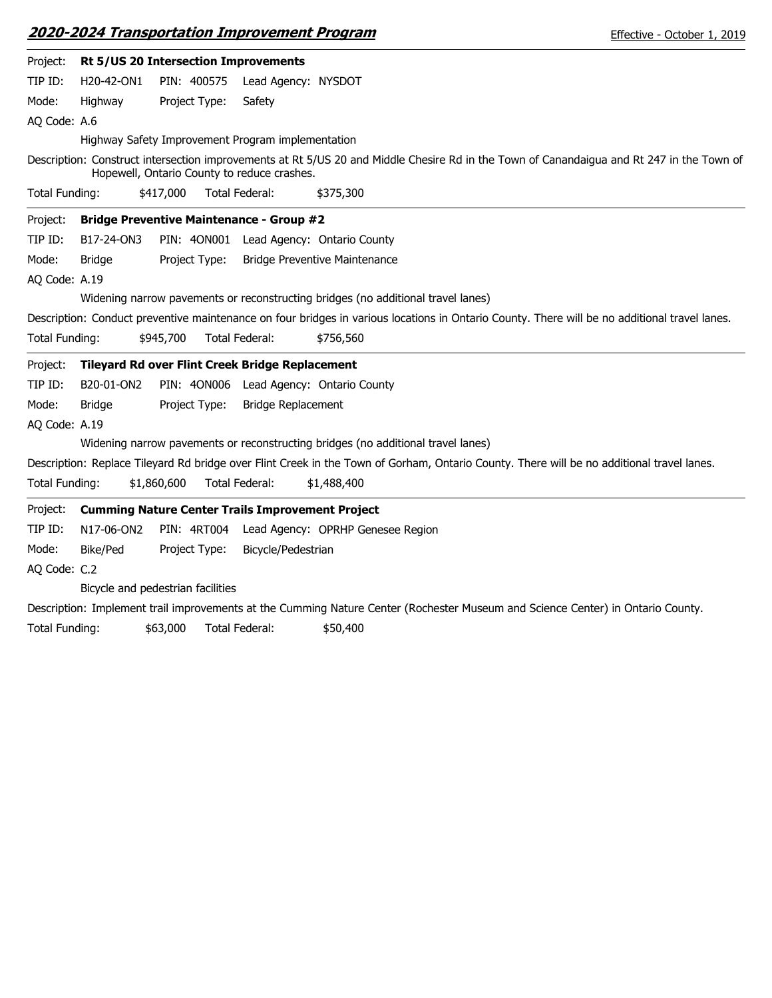| Project:       |               | Rt 5/US 20 Intersection Improvements                    |                           |                                                                                                                                               |
|----------------|---------------|---------------------------------------------------------|---------------------------|-----------------------------------------------------------------------------------------------------------------------------------------------|
| TIP ID:        | H20-42-ON1    | PIN: 400575                                             | Lead Agency: NYSDOT       |                                                                                                                                               |
| Mode:          | Highway       | Project Type:                                           | Safety                    |                                                                                                                                               |
| AQ Code: A.6   |               |                                                         |                           |                                                                                                                                               |
|                |               | Highway Safety Improvement Program implementation       |                           |                                                                                                                                               |
|                |               | Hopewell, Ontario County to reduce crashes.             |                           | Description: Construct intersection improvements at Rt 5/US 20 and Middle Chesire Rd in the Town of Canandaigua and Rt 247 in the Town of     |
| Total Funding: |               | \$417,000                                               | Total Federal:            | \$375,300                                                                                                                                     |
| Project:       |               | <b>Bridge Preventive Maintenance - Group #2</b>         |                           |                                                                                                                                               |
| TIP ID:        | B17-24-ON3    |                                                         |                           | PIN: 40N001 Lead Agency: Ontario County                                                                                                       |
| Mode:          | <b>Bridge</b> | Project Type:                                           |                           | <b>Bridge Preventive Maintenance</b>                                                                                                          |
| AQ Code: A.19  |               |                                                         |                           |                                                                                                                                               |
|                |               |                                                         |                           | Widening narrow pavements or reconstructing bridges (no additional travel lanes)                                                              |
|                |               |                                                         |                           | Description: Conduct preventive maintenance on four bridges in various locations in Ontario County. There will be no additional travel lanes. |
| Total Funding: |               | \$945,700                                               | <b>Total Federal:</b>     | \$756,560                                                                                                                                     |
| Project:       |               | <b>Tileyard Rd over Flint Creek Bridge Replacement</b>  |                           |                                                                                                                                               |
| TIP ID:        | B20-01-ON2    |                                                         |                           | PIN: 40N006 Lead Agency: Ontario County                                                                                                       |
| Mode:          | <b>Bridge</b> | Project Type:                                           | <b>Bridge Replacement</b> |                                                                                                                                               |
| AQ Code: A.19  |               |                                                         |                           |                                                                                                                                               |
|                |               |                                                         |                           | Widening narrow pavements or reconstructing bridges (no additional travel lanes)                                                              |
|                |               |                                                         |                           | Description: Replace Tileyard Rd bridge over Flint Creek in the Town of Gorham, Ontario County. There will be no additional travel lanes.     |
| Total Funding: |               | \$1,860,600                                             | Total Federal:            | \$1,488,400                                                                                                                                   |
| Project:       |               | <b>Cumming Nature Center Trails Improvement Project</b> |                           |                                                                                                                                               |
| TIP ID:        | N17-06-ON2    | PIN: 4RT004                                             |                           | Lead Agency: OPRHP Genesee Region                                                                                                             |
| Mode:          | Bike/Ped      | Project Type:                                           | Bicycle/Pedestrian        |                                                                                                                                               |
| AQ Code: C.2   |               |                                                         |                           |                                                                                                                                               |
|                |               | Bicycle and pedestrian facilities                       |                           |                                                                                                                                               |
|                |               |                                                         |                           | Description: Implement trail improvements at the Cumming Nature Center (Rochester Museum and Science Center) in Ontario County.               |
| Total Funding: |               | \$63,000                                                | Total Federal:            | \$50,400                                                                                                                                      |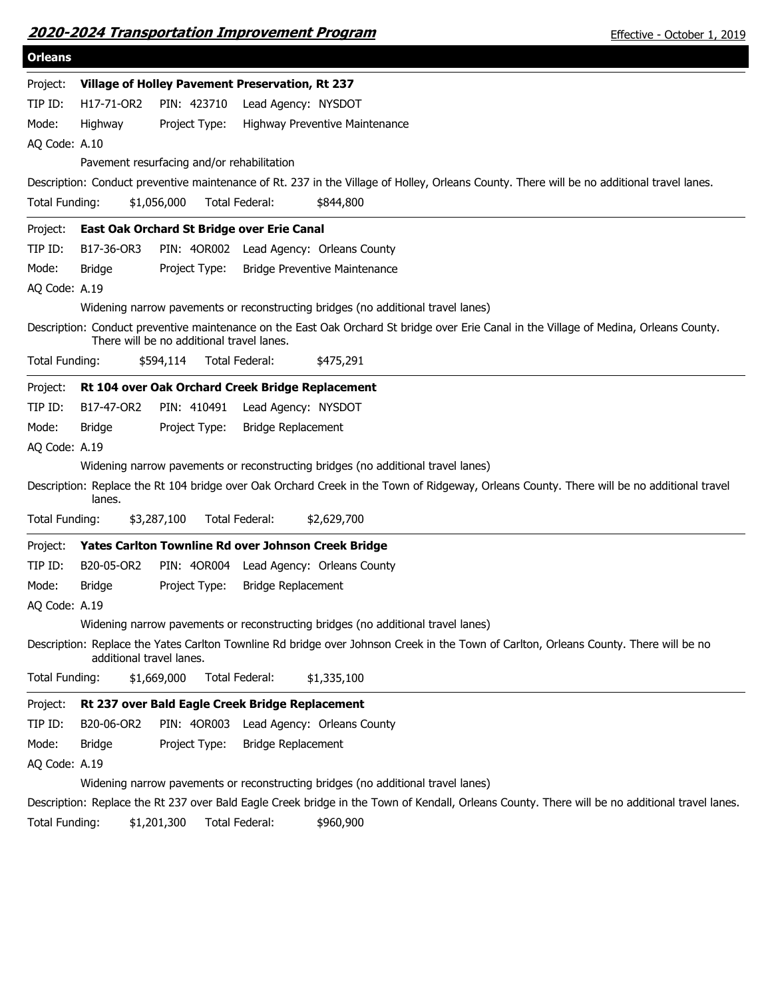|                |                          | <b>2020-2024 Transportation Improvement Program</b> |                           |                                                                                                                                            | Effective - October 1, 2019                                                                                                                    |
|----------------|--------------------------|-----------------------------------------------------|---------------------------|--------------------------------------------------------------------------------------------------------------------------------------------|------------------------------------------------------------------------------------------------------------------------------------------------|
| <b>Orleans</b> |                          |                                                     |                           |                                                                                                                                            |                                                                                                                                                |
| Project:       |                          | Village of Holley Pavement Preservation, Rt 237     |                           |                                                                                                                                            |                                                                                                                                                |
| TIP ID:        | H17-71-OR2               | PIN: 423710                                         | Lead Agency: NYSDOT       |                                                                                                                                            |                                                                                                                                                |
| Mode:          | Highway                  | Project Type:                                       |                           | Highway Preventive Maintenance                                                                                                             |                                                                                                                                                |
| AQ Code: A.10  |                          |                                                     |                           |                                                                                                                                            |                                                                                                                                                |
|                |                          | Pavement resurfacing and/or rehabilitation          |                           |                                                                                                                                            |                                                                                                                                                |
|                |                          |                                                     |                           | Description: Conduct preventive maintenance of Rt. 237 in the Village of Holley, Orleans County. There will be no additional travel lanes. |                                                                                                                                                |
| Total Funding: |                          | \$1,056,000                                         | Total Federal:            | \$844,800                                                                                                                                  |                                                                                                                                                |
| Project:       |                          | East Oak Orchard St Bridge over Erie Canal          |                           |                                                                                                                                            |                                                                                                                                                |
| TIP ID:        | B17-36-OR3               |                                                     |                           | PIN: 4OR002 Lead Agency: Orleans County                                                                                                    |                                                                                                                                                |
| Mode:          | <b>Bridge</b>            | Project Type:                                       |                           | <b>Bridge Preventive Maintenance</b>                                                                                                       |                                                                                                                                                |
| AQ Code: A.19  |                          |                                                     |                           |                                                                                                                                            |                                                                                                                                                |
|                |                          |                                                     |                           | Widening narrow pavements or reconstructing bridges (no additional travel lanes)                                                           |                                                                                                                                                |
|                |                          | There will be no additional travel lanes.           |                           | Description: Conduct preventive maintenance on the East Oak Orchard St bridge over Erie Canal in the Village of Medina, Orleans County.    |                                                                                                                                                |
| Total Funding: |                          | \$594,114                                           | Total Federal:            | \$475,291                                                                                                                                  |                                                                                                                                                |
| Project:       |                          | Rt 104 over Oak Orchard Creek Bridge Replacement    |                           |                                                                                                                                            |                                                                                                                                                |
| TIP ID:        | B17-47-OR2               | PIN: 410491                                         | Lead Agency: NYSDOT       |                                                                                                                                            |                                                                                                                                                |
| Mode:          | <b>Bridge</b>            | Project Type:                                       | <b>Bridge Replacement</b> |                                                                                                                                            |                                                                                                                                                |
| AQ Code: A.19  |                          |                                                     |                           |                                                                                                                                            |                                                                                                                                                |
|                |                          |                                                     |                           | Widening narrow pavements or reconstructing bridges (no additional travel lanes)                                                           |                                                                                                                                                |
|                | lanes.                   |                                                     |                           | Description: Replace the Rt 104 bridge over Oak Orchard Creek in the Town of Ridgeway, Orleans County. There will be no additional travel  |                                                                                                                                                |
| Total Funding: |                          | \$3,287,100                                         | Total Federal:            | \$2,629,700                                                                                                                                |                                                                                                                                                |
| Project:       |                          | Yates Carlton Townline Rd over Johnson Creek Bridge |                           |                                                                                                                                            |                                                                                                                                                |
| TIP ID:        | B20-05-OR2               | PIN: 40R004                                         |                           | Lead Agency: Orleans County                                                                                                                |                                                                                                                                                |
| Mode:          | <b>Bridge</b>            | Project Type:                                       | <b>Bridge Replacement</b> |                                                                                                                                            |                                                                                                                                                |
| AQ Code: A.19  |                          |                                                     |                           |                                                                                                                                            |                                                                                                                                                |
|                |                          |                                                     |                           | Widening narrow pavements or reconstructing bridges (no additional travel lanes)                                                           |                                                                                                                                                |
|                | additional travel lanes. |                                                     |                           | Description: Replace the Yates Carlton Townline Rd bridge over Johnson Creek in the Town of Carlton, Orleans County. There will be no      |                                                                                                                                                |
| Total Funding: |                          | \$1,669,000                                         | Total Federal:            | \$1,335,100                                                                                                                                |                                                                                                                                                |
| Project:       |                          | Rt 237 over Bald Eagle Creek Bridge Replacement     |                           |                                                                                                                                            |                                                                                                                                                |
| TIP ID:        | B20-06-OR2               | PIN: 40R003                                         |                           | Lead Agency: Orleans County                                                                                                                |                                                                                                                                                |
| Mode:          | <b>Bridge</b>            | Project Type:                                       | Bridge Replacement        |                                                                                                                                            |                                                                                                                                                |
| AQ Code: A.19  |                          |                                                     |                           |                                                                                                                                            |                                                                                                                                                |
|                |                          |                                                     |                           | Widening narrow pavements or reconstructing bridges (no additional travel lanes)                                                           |                                                                                                                                                |
|                |                          |                                                     |                           |                                                                                                                                            | Description: Replace the Rt 237 over Bald Eagle Creek bridge in the Town of Kendall, Orleans County. There will be no additional travel lanes. |

Total Funding: \$1,201,300 Total Federal: \$960,900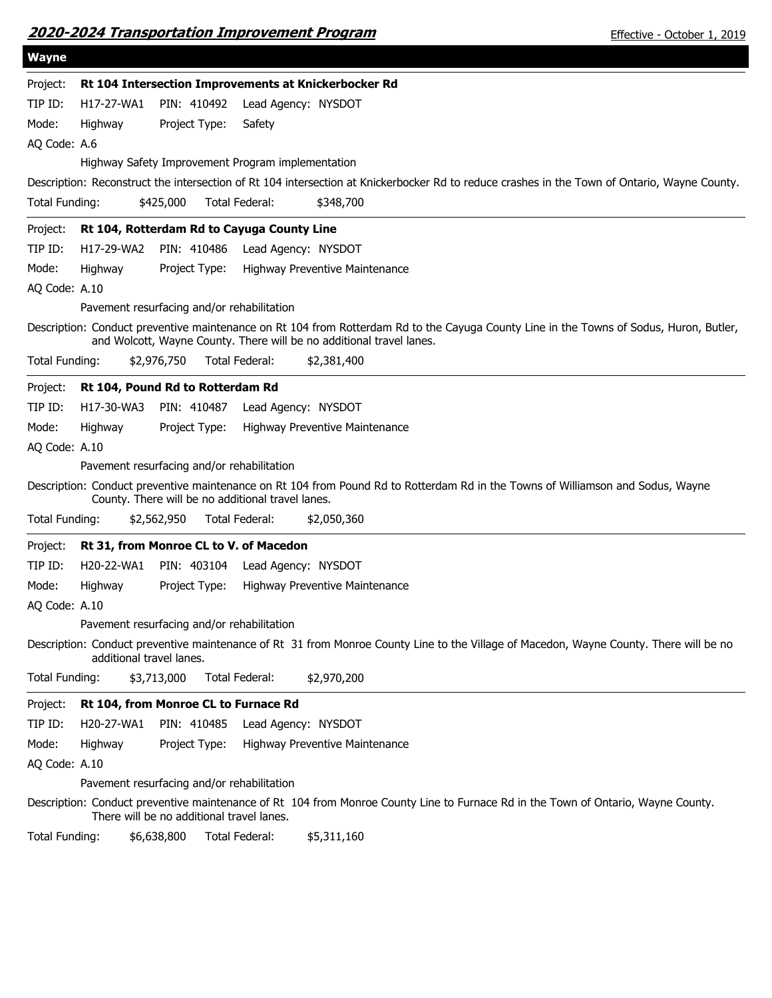| <b>Wayne</b>                                                                                                                                                                                                    |
|-----------------------------------------------------------------------------------------------------------------------------------------------------------------------------------------------------------------|
| Rt 104 Intersection Improvements at Knickerbocker Rd<br>Project:                                                                                                                                                |
| TIP ID:<br>H17-27-WA1<br>PIN: 410492<br>Lead Agency: NYSDOT                                                                                                                                                     |
| Mode:<br>Highway<br>Project Type:<br>Safety                                                                                                                                                                     |
| AQ Code: A.6                                                                                                                                                                                                    |
| Highway Safety Improvement Program implementation                                                                                                                                                               |
| Description: Reconstruct the intersection of Rt 104 intersection at Knickerbocker Rd to reduce crashes in the Town of Ontario, Wayne County.                                                                    |
| Total Funding:<br>Total Federal:<br>\$425,000<br>\$348,700                                                                                                                                                      |
| Rt 104, Rotterdam Rd to Cayuga County Line<br>Project:                                                                                                                                                          |
| TIP ID:<br>H17-29-WA2<br>PIN: 410486<br>Lead Agency: NYSDOT                                                                                                                                                     |
| Mode:<br>Highway<br>Project Type:<br>Highway Preventive Maintenance                                                                                                                                             |
| AQ Code: A.10                                                                                                                                                                                                   |
| Pavement resurfacing and/or rehabilitation                                                                                                                                                                      |
| Description: Conduct preventive maintenance on Rt 104 from Rotterdam Rd to the Cayuga County Line in the Towns of Sodus, Huron, Butler,<br>and Wolcott, Wayne County. There will be no additional travel lanes. |
| Total Funding:<br>\$2,976,750<br>Total Federal:<br>\$2,381,400                                                                                                                                                  |
| Rt 104, Pound Rd to Rotterdam Rd<br>Project:                                                                                                                                                                    |
| TIP ID:<br>H17-30-WA3<br>PIN: 410487<br>Lead Agency: NYSDOT                                                                                                                                                     |
| Project Type:<br>Mode:<br>Highway<br>Highway Preventive Maintenance                                                                                                                                             |
| AQ Code: A.10                                                                                                                                                                                                   |
| Pavement resurfacing and/or rehabilitation                                                                                                                                                                      |
| Description: Conduct preventive maintenance on Rt 104 from Pound Rd to Rotterdam Rd in the Towns of Williamson and Sodus, Wayne<br>County. There will be no additional travel lanes.                            |
| Total Funding:<br>\$2,562,950<br>Total Federal:<br>\$2,050,360                                                                                                                                                  |
| Rt 31, from Monroe CL to V. of Macedon<br>Project:                                                                                                                                                              |
| TIP ID:<br>H20-22-WA1<br>PIN: 403104<br>Lead Agency: NYSDOT                                                                                                                                                     |
| Mode:<br>Highway<br>Project Type:<br>Highway Preventive Maintenance                                                                                                                                             |
| AQ Code: A.10                                                                                                                                                                                                   |
| Pavement resurfacing and/or rehabilitation                                                                                                                                                                      |
| Description: Conduct preventive maintenance of Rt 31 from Monroe County Line to the Village of Macedon, Wayne County. There will be no<br>additional travel lanes.                                              |
| \$3,713,000<br>\$2,970,200<br>Total Funding:<br>Total Federal:                                                                                                                                                  |
| Project:<br>Rt 104, from Monroe CL to Furnace Rd                                                                                                                                                                |
| TIP ID:<br>H20-27-WA1<br>PIN: 410485<br>Lead Agency: NYSDOT                                                                                                                                                     |
| Mode:<br>Project Type:<br>Highway<br>Highway Preventive Maintenance                                                                                                                                             |
| AQ Code: A.10                                                                                                                                                                                                   |
| Pavement resurfacing and/or rehabilitation                                                                                                                                                                      |
| Description: Conduct preventive maintenance of Rt 104 from Monroe County Line to Furnace Rd in the Town of Ontario, Wayne County.<br>There will be no additional travel lanes.                                  |

Total Funding: \$6,638,800 Total Federal: \$5,311,160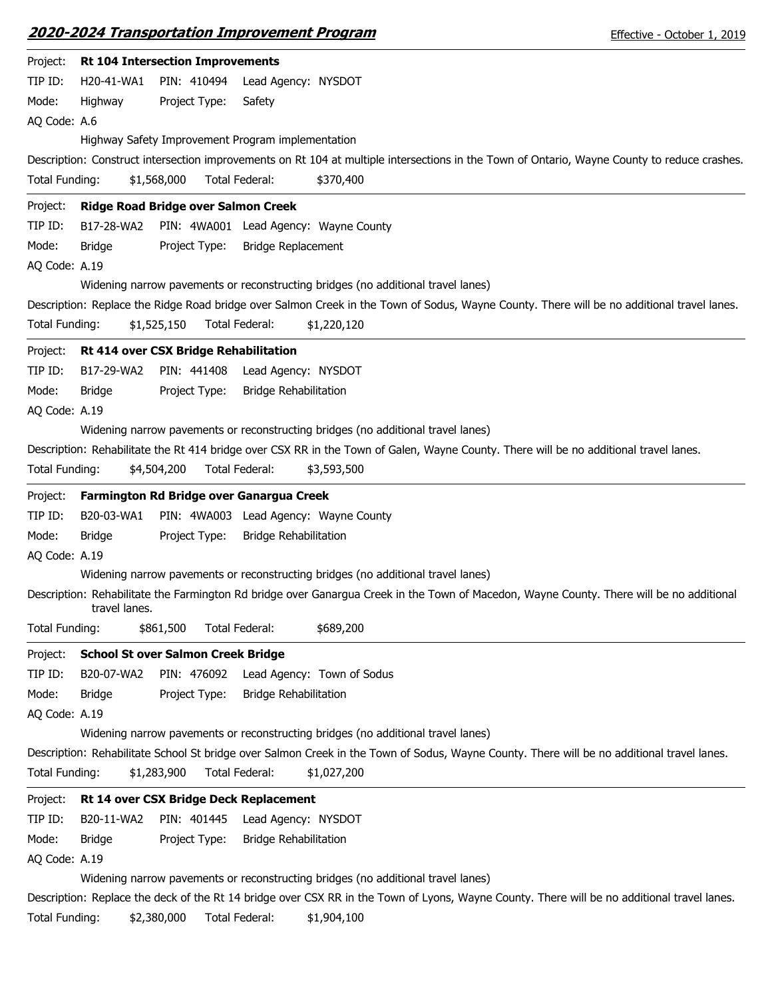| Project:       | <b>Rt 104 Intersection Improvements</b>                                                                                                                   |
|----------------|-----------------------------------------------------------------------------------------------------------------------------------------------------------|
| TIP ID:        | PIN: 410494<br>H20-41-WA1<br>Lead Agency: NYSDOT                                                                                                          |
| Mode:          | Highway<br>Project Type:<br>Safety                                                                                                                        |
| AQ Code: A.6   |                                                                                                                                                           |
|                | Highway Safety Improvement Program implementation                                                                                                         |
|                | Description: Construct intersection improvements on Rt 104 at multiple intersections in the Town of Ontario, Wayne County to reduce crashes.              |
| Total Funding: | \$1,568,000<br>Total Federal:<br>\$370,400                                                                                                                |
| Project:       | Ridge Road Bridge over Salmon Creek                                                                                                                       |
| TIP ID:        | B17-28-WA2<br>PIN: 4WA001 Lead Agency: Wayne County                                                                                                       |
| Mode:          | Project Type:<br><b>Bridge Replacement</b><br>Bridge                                                                                                      |
| AQ Code: A.19  |                                                                                                                                                           |
|                | Widening narrow pavements or reconstructing bridges (no additional travel lanes)                                                                          |
|                | Description: Replace the Ridge Road bridge over Salmon Creek in the Town of Sodus, Wayne County. There will be no additional travel lanes.                |
| Total Funding: | \$1,525,150<br><b>Total Federal:</b><br>\$1,220,120                                                                                                       |
| Project:       | Rt 414 over CSX Bridge Rehabilitation                                                                                                                     |
| TIP ID:        | B17-29-WA2<br>PIN: 441408<br>Lead Agency: NYSDOT                                                                                                          |
| Mode:          | <b>Bridge Rehabilitation</b><br><b>Bridge</b><br>Project Type:                                                                                            |
| AQ Code: A.19  |                                                                                                                                                           |
|                | Widening narrow pavements or reconstructing bridges (no additional travel lanes)                                                                          |
|                | Description: Rehabilitate the Rt 414 bridge over CSX RR in the Town of Galen, Wayne County. There will be no additional travel lanes.                     |
| Total Funding: | \$4,504,200<br>Total Federal:<br>\$3,593,500                                                                                                              |
| Project:       | Farmington Rd Bridge over Ganargua Creek                                                                                                                  |
| TIP ID:        | B20-03-WA1<br>PIN: 4WA003 Lead Agency: Wayne County                                                                                                       |
| Mode:          | <b>Bridge</b><br>Project Type:<br><b>Bridge Rehabilitation</b>                                                                                            |
| AQ Code: A.19  |                                                                                                                                                           |
|                | Widening narrow pavements or reconstructing bridges (no additional travel lanes)                                                                          |
|                | Description: Rehabilitate the Farmington Rd bridge over Ganargua Creek in the Town of Macedon, Wayne County. There will be no additional<br>travel lanes. |
| Total Funding: | \$861,500<br>Total Federal:<br>\$689,200                                                                                                                  |
| Project:       | <b>School St over Salmon Creek Bridge</b>                                                                                                                 |
| TIP ID:        | B20-07-WA2<br>PIN: 476092<br>Lead Agency: Town of Sodus                                                                                                   |
| Mode:          | <b>Bridge</b><br>Project Type:<br><b>Bridge Rehabilitation</b>                                                                                            |
| AQ Code: A.19  |                                                                                                                                                           |
|                | Widening narrow pavements or reconstructing bridges (no additional travel lanes)                                                                          |
|                | Description: Rehabilitate School St bridge over Salmon Creek in the Town of Sodus, Wayne County. There will be no additional travel lanes.                |
| Total Funding: | \$1,283,900<br>Total Federal:<br>\$1,027,200                                                                                                              |
| Project:       | Rt 14 over CSX Bridge Deck Replacement                                                                                                                    |
| TIP ID:        | Lead Agency: NYSDOT<br>B20-11-WA2<br>PIN: 401445                                                                                                          |
| Mode:          | Project Type:<br><b>Bridge Rehabilitation</b><br><b>Bridge</b>                                                                                            |
| AQ Code: A.19  |                                                                                                                                                           |
|                | Widening narrow pavements or reconstructing bridges (no additional travel lanes)                                                                          |
|                | Description: Replace the deck of the Rt 14 bridge over CSX RR in the Town of Lyons, Wayne County. There will be no additional travel lanes.               |
| Total Funding: | \$2,380,000<br>Total Federal:<br>\$1,904,100                                                                                                              |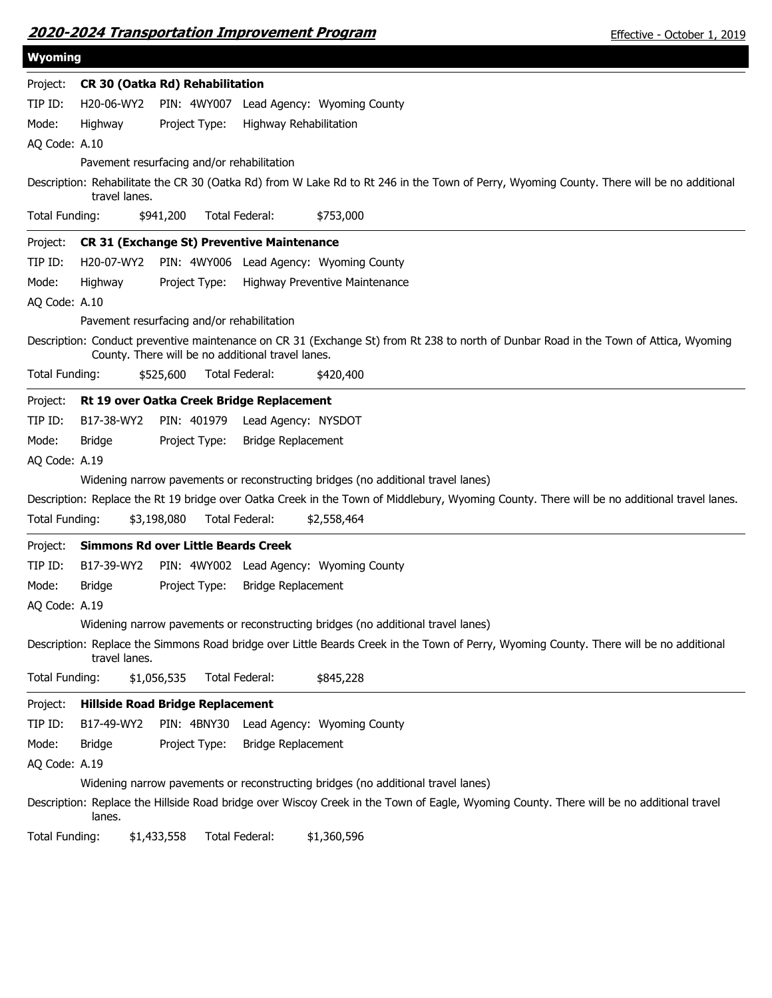|--|

| <b>Wyoming</b> |                                 |                                                   |                           |                                                                                                                                             |
|----------------|---------------------------------|---------------------------------------------------|---------------------------|---------------------------------------------------------------------------------------------------------------------------------------------|
| Project:       | CR 30 (Oatka Rd) Rehabilitation |                                                   |                           |                                                                                                                                             |
| TIP ID:        | H20-06-WY2                      |                                                   |                           | PIN: 4WY007 Lead Agency: Wyoming County                                                                                                     |
| Mode:          | Highway                         | Project Type:                                     | Highway Rehabilitation    |                                                                                                                                             |
| AQ Code: A.10  |                                 |                                                   |                           |                                                                                                                                             |
|                |                                 | Pavement resurfacing and/or rehabilitation        |                           |                                                                                                                                             |
|                | travel lanes.                   |                                                   |                           | Description: Rehabilitate the CR 30 (Oatka Rd) from W Lake Rd to Rt 246 in the Town of Perry, Wyoming County. There will be no additional   |
| Total Funding: |                                 | \$941,200                                         | Total Federal:            | \$753,000                                                                                                                                   |
| Project:       |                                 | <b>CR 31 (Exchange St) Preventive Maintenance</b> |                           |                                                                                                                                             |
| TIP ID:        | H20-07-WY2                      |                                                   |                           | PIN: 4WY006 Lead Agency: Wyoming County                                                                                                     |
| Mode:          | Highway                         | Project Type:                                     |                           | Highway Preventive Maintenance                                                                                                              |
| AQ Code: A.10  |                                 |                                                   |                           |                                                                                                                                             |
|                |                                 | Pavement resurfacing and/or rehabilitation        |                           |                                                                                                                                             |
|                |                                 | County. There will be no additional travel lanes. |                           | Description: Conduct preventive maintenance on CR 31 (Exchange St) from Rt 238 to north of Dunbar Road in the Town of Attica, Wyoming       |
| Total Funding: |                                 | \$525,600                                         | Total Federal:            | \$420,400                                                                                                                                   |
| Project:       |                                 | Rt 19 over Oatka Creek Bridge Replacement         |                           |                                                                                                                                             |
| TIP ID:        | B17-38-WY2                      | PIN: 401979                                       | Lead Agency: NYSDOT       |                                                                                                                                             |
| Mode:          | <b>Bridge</b>                   | Project Type:                                     | <b>Bridge Replacement</b> |                                                                                                                                             |
| AQ Code: A.19  |                                 |                                                   |                           |                                                                                                                                             |
|                |                                 |                                                   |                           | Widening narrow pavements or reconstructing bridges (no additional travel lanes)                                                            |
|                |                                 |                                                   |                           | Description: Replace the Rt 19 bridge over Oatka Creek in the Town of Middlebury, Wyoming County. There will be no additional travel lanes. |
| Total Funding: |                                 | \$3,198,080                                       | Total Federal:            | \$2,558,464                                                                                                                                 |
| Project:       |                                 | <b>Simmons Rd over Little Beards Creek</b>        |                           |                                                                                                                                             |
| TIP ID:        | B17-39-WY2                      |                                                   |                           | PIN: 4WY002 Lead Agency: Wyoming County                                                                                                     |
| Mode:          | <b>Bridge</b>                   | Project Type:                                     | <b>Bridge Replacement</b> |                                                                                                                                             |
| AQ Code: A.19  |                                 |                                                   |                           |                                                                                                                                             |
|                |                                 |                                                   |                           | Widening narrow pavements or reconstructing bridges (no additional travel lanes)                                                            |
|                | travel lanes.                   |                                                   |                           | Description: Replace the Simmons Road bridge over Little Beards Creek in the Town of Perry, Wyoming County. There will be no additional     |
| Total Funding: |                                 | \$1,056,535                                       | Total Federal:            | \$845,228                                                                                                                                   |
| Project:       |                                 | <b>Hillside Road Bridge Replacement</b>           |                           |                                                                                                                                             |
| TIP ID:        | B17-49-WY2                      |                                                   |                           | PIN: 4BNY30 Lead Agency: Wyoming County                                                                                                     |
| Mode:          | <b>Bridge</b>                   | Project Type:                                     | <b>Bridge Replacement</b> |                                                                                                                                             |
| AQ Code: A.19  |                                 |                                                   |                           |                                                                                                                                             |
|                |                                 |                                                   |                           | Widening narrow pavements or reconstructing bridges (no additional travel lanes)                                                            |
|                | lanes.                          |                                                   |                           | Description: Replace the Hillside Road bridge over Wiscoy Creek in the Town of Eagle, Wyoming County. There will be no additional travel    |
| Total Funding: |                                 | \$1,433,558                                       | Total Federal:            | \$1,360,596                                                                                                                                 |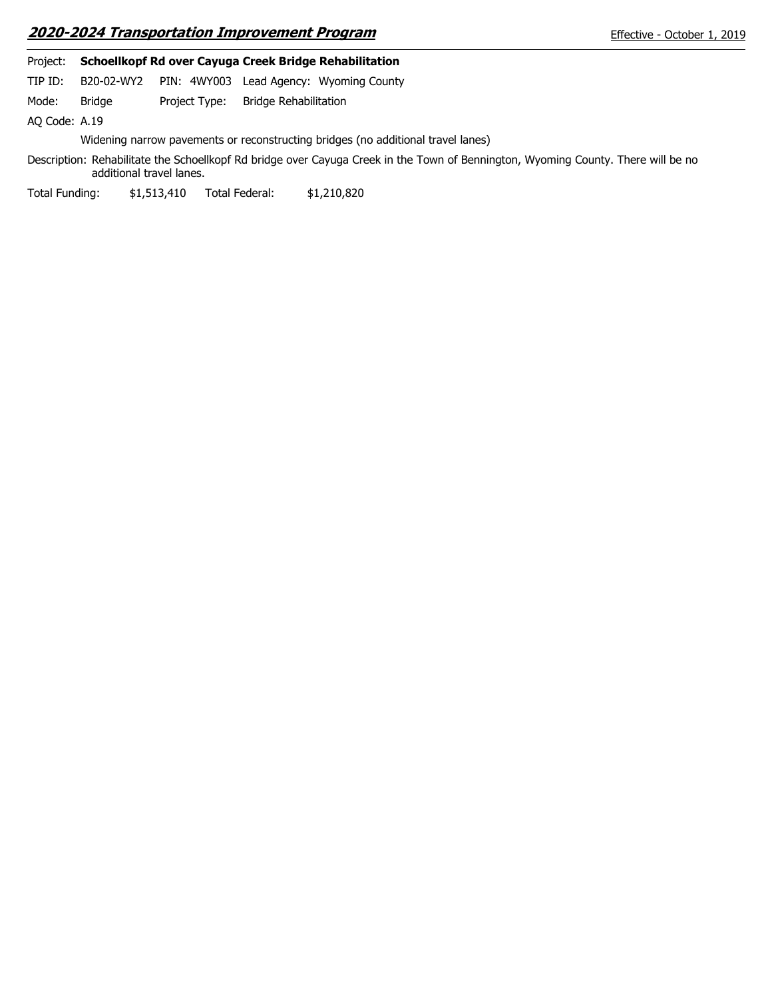## **2020-2024 Transportation Improvement Program**

| Project: |            | <b>Schoellkopf Rd over Cayuga Creek Bridge Rehabilitation</b> |  |
|----------|------------|---------------------------------------------------------------|--|
| TIP ID:  | B20-02-WY2 | PIN: 4WY003 Lead Agency: Wyoming County                       |  |

Mode: Bridge Project Type: Bridge Rehabilitation Bridge

AQ Code: A.19

Widening narrow pavements or reconstructing bridges (no additional travel lanes)

Description: Rehabilitate the Schoellkopf Rd bridge over Cayuga Creek in the Town of Bennington, Wyoming County. There will be no additional travel lanes.

Total Funding: \$1,513,410 Total Federal: \$1,210,820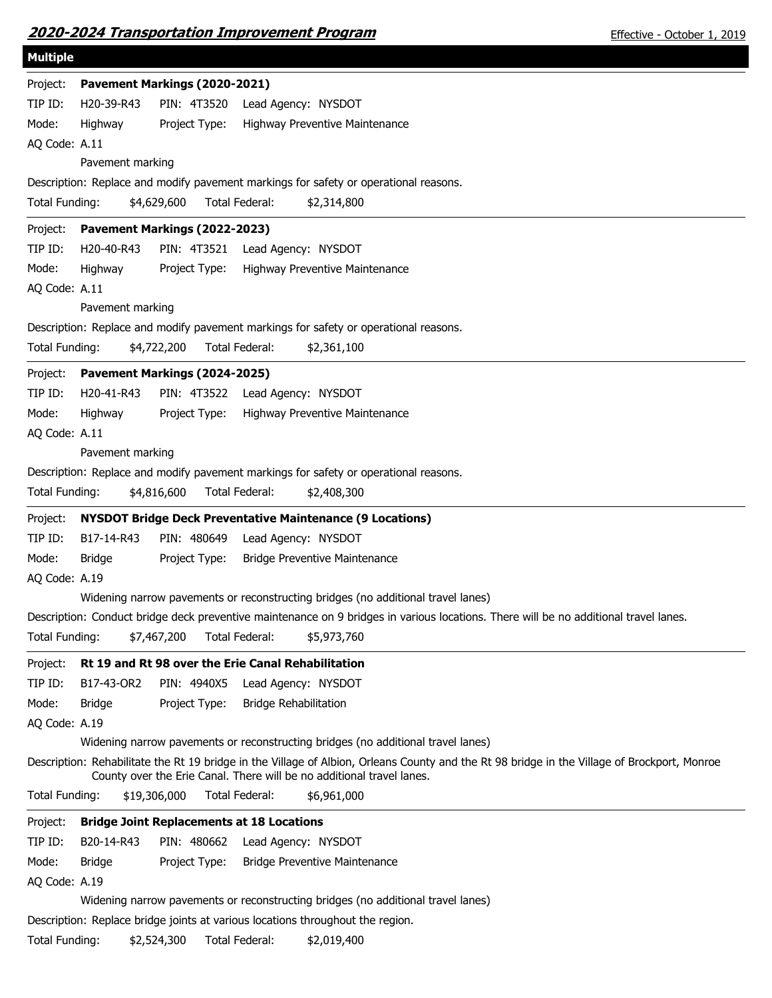|  | 2020-2024 Transportation Improvement Program |  |
|--|----------------------------------------------|--|
|  |                                              |  |

| <b>Multiple</b>                                                                                                                                                                                                       |  |
|-----------------------------------------------------------------------------------------------------------------------------------------------------------------------------------------------------------------------|--|
| Pavement Markings (2020-2021)<br>Project:                                                                                                                                                                             |  |
| TIP ID:<br>PIN: 4T3520<br>H20-39-R43<br>Lead Agency: NYSDOT                                                                                                                                                           |  |
| Mode:<br>Highway<br>Project Type:<br>Highway Preventive Maintenance                                                                                                                                                   |  |
| AQ Code: A.11                                                                                                                                                                                                         |  |
| Pavement marking                                                                                                                                                                                                      |  |
| Description: Replace and modify pavement markings for safety or operational reasons.                                                                                                                                  |  |
| \$4,629,600<br>Total Federal:<br>Total Funding:<br>\$2,314,800                                                                                                                                                        |  |
| Pavement Markings (2022-2023)<br>Project:                                                                                                                                                                             |  |
| TIP ID:<br>H20-40-R43<br>PIN: 4T3521 Lead Agency: NYSDOT                                                                                                                                                              |  |
| Mode:<br>Project Type:<br>Highway Preventive Maintenance<br>Highway                                                                                                                                                   |  |
| AQ Code: A.11                                                                                                                                                                                                         |  |
| Pavement marking                                                                                                                                                                                                      |  |
| Description: Replace and modify pavement markings for safety or operational reasons.                                                                                                                                  |  |
| Total Funding:<br>\$4,722,200<br>Total Federal:<br>\$2,361,100                                                                                                                                                        |  |
| Project:<br>Pavement Markings (2024-2025)                                                                                                                                                                             |  |
| TIP ID:<br>H20-41-R43<br>PIN: 4T3522 Lead Agency: NYSDOT                                                                                                                                                              |  |
| Mode:<br>Project Type:<br>Highway Preventive Maintenance<br>Highway                                                                                                                                                   |  |
| AQ Code: A.11                                                                                                                                                                                                         |  |
| Pavement marking                                                                                                                                                                                                      |  |
| Description: Replace and modify pavement markings for safety or operational reasons.                                                                                                                                  |  |
| Total Federal:<br>Total Funding:<br>\$4,816,600<br>\$2,408,300                                                                                                                                                        |  |
|                                                                                                                                                                                                                       |  |
|                                                                                                                                                                                                                       |  |
| <b>NYSDOT Bridge Deck Preventative Maintenance (9 Locations)</b><br>Project:<br>TIP ID:                                                                                                                               |  |
| PIN: 480649<br>B17-14-R43<br>Lead Agency: NYSDOT                                                                                                                                                                      |  |
| Mode:<br>Project Type:<br><b>Bridge</b><br><b>Bridge Preventive Maintenance</b>                                                                                                                                       |  |
| AQ Code: A.19<br>Widening narrow pavements or reconstructing bridges (no additional travel lanes)                                                                                                                     |  |
| Description: Conduct bridge deck preventive maintenance on 9 bridges in various locations. There will be no additional travel lanes.                                                                                  |  |
| Total Federal:<br>Total Funding:<br>\$7,467,200<br>\$5,973,760                                                                                                                                                        |  |
|                                                                                                                                                                                                                       |  |
| Rt 19 and Rt 98 over the Erie Canal Rehabilitation<br>Project:                                                                                                                                                        |  |
| TIP ID:<br>B17-43-OR2<br>PIN: 4940X5<br>Lead Agency: NYSDOT                                                                                                                                                           |  |
| Mode:<br>Project Type:<br><b>Bridge Rehabilitation</b><br><b>Bridge</b>                                                                                                                                               |  |
| AQ Code: A.19                                                                                                                                                                                                         |  |
| Widening narrow pavements or reconstructing bridges (no additional travel lanes)                                                                                                                                      |  |
| Description: Rehabilitate the Rt 19 bridge in the Village of Albion, Orleans County and the Rt 98 bridge in the Village of Brockport, Monroe<br>County over the Erie Canal. There will be no additional travel lanes. |  |
| Total Funding:<br>\$19,306,000<br>Total Federal:<br>\$6,961,000                                                                                                                                                       |  |
|                                                                                                                                                                                                                       |  |
| <b>Bridge Joint Replacements at 18 Locations</b><br>Project:<br>TIP ID:                                                                                                                                               |  |
| PIN: 480662<br>B20-14-R43<br>Lead Agency: NYSDOT                                                                                                                                                                      |  |
| Mode:<br><b>Bridge</b><br>Project Type:<br><b>Bridge Preventive Maintenance</b>                                                                                                                                       |  |
| AQ Code: A.19<br>Widening narrow pavements or reconstructing bridges (no additional travel lanes)                                                                                                                     |  |
| Description: Replace bridge joints at various locations throughout the region.                                                                                                                                        |  |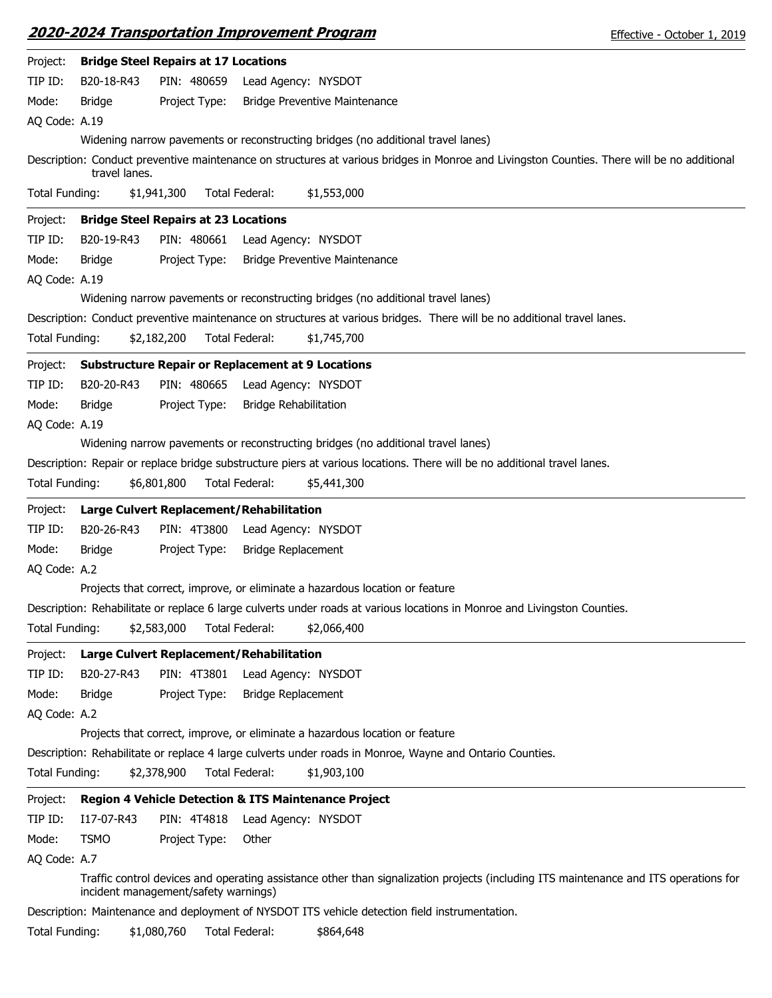| 2020-2024 Transportation Improvement Program | Effective - October 1, 2019 |
|----------------------------------------------|-----------------------------|
|                                              |                             |

| Project:       |               | <b>Bridge Steel Repairs at 17 Locations</b> |                                                                                                                                             |
|----------------|---------------|---------------------------------------------|---------------------------------------------------------------------------------------------------------------------------------------------|
| TIP ID:        | B20-18-R43    | PIN: 480659                                 | Lead Agency: NYSDOT                                                                                                                         |
| Mode:          | <b>Bridge</b> | Project Type:                               | <b>Bridge Preventive Maintenance</b>                                                                                                        |
| AQ Code: A.19  |               |                                             |                                                                                                                                             |
|                |               |                                             | Widening narrow pavements or reconstructing bridges (no additional travel lanes)                                                            |
|                | travel lanes. |                                             | Description: Conduct preventive maintenance on structures at various bridges in Monroe and Livingston Counties. There will be no additional |
| Total Funding: |               | \$1,941,300                                 | \$1,553,000<br>Total Federal:                                                                                                               |
| Project:       |               | <b>Bridge Steel Repairs at 23 Locations</b> |                                                                                                                                             |
| TIP ID:        | B20-19-R43    | PIN: 480661                                 | Lead Agency: NYSDOT                                                                                                                         |
| Mode:          | Bridge        | Project Type:                               | <b>Bridge Preventive Maintenance</b>                                                                                                        |
| AQ Code: A.19  |               |                                             |                                                                                                                                             |
|                |               |                                             | Widening narrow pavements or reconstructing bridges (no additional travel lanes)                                                            |
|                |               |                                             | Description: Conduct preventive maintenance on structures at various bridges. There will be no additional travel lanes.                     |
| Total Funding: |               | \$2,182,200                                 | Total Federal:<br>\$1,745,700                                                                                                               |
|                |               |                                             |                                                                                                                                             |
| Project:       |               |                                             | <b>Substructure Repair or Replacement at 9 Locations</b>                                                                                    |
| TIP ID:        | B20-20-R43    | PIN: 480665                                 | Lead Agency: NYSDOT                                                                                                                         |
| Mode:          | Bridge        | Project Type:                               | <b>Bridge Rehabilitation</b>                                                                                                                |
| AQ Code: A.19  |               |                                             |                                                                                                                                             |
|                |               |                                             | Widening narrow pavements or reconstructing bridges (no additional travel lanes)                                                            |
|                |               |                                             | Description: Repair or replace bridge substructure piers at various locations. There will be no additional travel lanes.                    |
| Total Funding: |               | \$6,801,800                                 | Total Federal:<br>\$5,441,300                                                                                                               |
| Project:       |               |                                             | Large Culvert Replacement/Rehabilitation                                                                                                    |
| TIP ID:        | B20-26-R43    | PIN: 4T3800                                 | Lead Agency: NYSDOT                                                                                                                         |
| Mode:          | Bridge        | Project Type:                               | <b>Bridge Replacement</b>                                                                                                                   |
| AQ Code: A.2   |               |                                             |                                                                                                                                             |
|                |               |                                             | Projects that correct, improve, or eliminate a hazardous location or feature                                                                |
|                |               |                                             | Description: Rehabilitate or replace 6 large culverts under roads at various locations in Monroe and Livingston Counties.                   |
| Total Funding: |               | \$2,583,000                                 | Total Federal:<br>\$2,066,400                                                                                                               |
|                |               |                                             |                                                                                                                                             |
| Project:       |               |                                             | Large Culvert Replacement/Rehabilitation                                                                                                    |
| TIP ID:        | B20-27-R43    | PIN: 4T3801                                 | Lead Agency: NYSDOT                                                                                                                         |
| Mode:          | <b>Bridge</b> | Project Type:                               | <b>Bridge Replacement</b>                                                                                                                   |
|                |               |                                             |                                                                                                                                             |
| AQ Code: A.2   |               |                                             |                                                                                                                                             |
|                |               |                                             | Projects that correct, improve, or eliminate a hazardous location or feature                                                                |
|                |               |                                             | Description: Rehabilitate or replace 4 large culverts under roads in Monroe, Wayne and Ontario Counties.                                    |
| Total Funding: |               | \$2,378,900                                 | Total Federal:<br>\$1,903,100                                                                                                               |
| Project:       |               |                                             | <b>Region 4 Vehicle Detection &amp; ITS Maintenance Project</b>                                                                             |
| TIP ID:        | I17-07-R43    | PIN: 4T4818                                 | Lead Agency: NYSDOT                                                                                                                         |
| Mode:          | <b>TSMO</b>   | Project Type:                               | Other                                                                                                                                       |
| AQ Code: A.7   |               |                                             |                                                                                                                                             |
|                |               | incident management/safety warnings)        | Traffic control devices and operating assistance other than signalization projects (including ITS maintenance and ITS operations for        |
|                |               |                                             | Description: Maintenance and deployment of NYSDOT ITS vehicle detection field instrumentation.                                              |